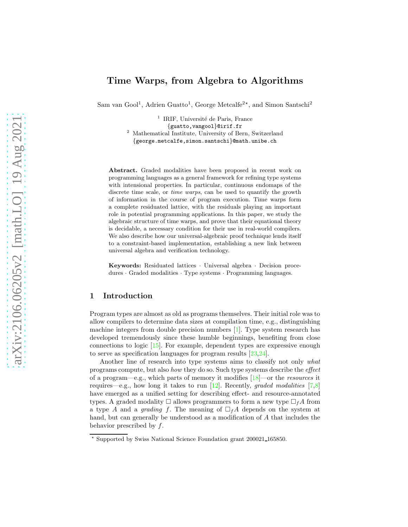# Time Warps, from Algebra to Algorithms

Sam van Gool<sup>1</sup>, Adrien Guatto<sup>1</sup>, George Metcalfe<sup>2\*</sup>, and Simon Santschi<sup>2</sup>

<sup>1</sup> IRIF, Université de Paris, France

{guatto,vangool}@irif.fr

<sup>2</sup> Mathematical Institute, University of Bern, Switzerland

{george.metcalfe,simon.santschi}@math.unibe.ch

Abstract. Graded modalities have been proposed in recent work on programming languages as a general framework for refining type systems with intensional properties. In particular, continuous endomaps of the discrete time scale, or *time warps*, can be used to quantify the growth of information in the course of program execution. Time warps form a complete residuated lattice, with the residuals playing an important role in potential programming applications. In this paper, we study the algebraic structure of time warps, and prove that their equational theory is decidable, a necessary condition for their use in real-world compilers. We also describe how our universal-algebraic proof technique lends itself to a constraint-based implementation, establishing a new link between universal algebra and verification technology.

Keywords: Residuated lattices · Universal algebra · Decision procedures · Graded modalities · Type systems · Programming languages.

## <span id="page-0-0"></span>1 Introduction

Program types are almost as old as programs themselves. Their initial role was to allow compilers to determine data sizes at compilation time, e.g., distinguishing machine integers from double precision numbers [\[1\]](#page-14-0). Type system research has developed tremendously since these humble beginnings, benefiting from close connections to logic [\[15\]](#page-15-0). For example, dependent types are expressive enough to serve as specification languages for program results [\[23,](#page-15-1)[24\]](#page-15-2).

Another line of research into type systems aims to classify not only what programs compute, but also how they do so. Such type systems describe the effect of a program—e.g., which parts of memory it modifies  $[18]$ —or the *resources* it requires—e.g., how long it takes to run [\[12\]](#page-15-4). Recently, graded modalities [\[7,](#page-15-5)[8\]](#page-15-6) have emerged as a unified setting for describing effect- and resource-annotated types. A graded modality  $\square$  allows programmers to form a new type  $\square_f A$  from a type A and a grading f. The meaning of  $\Box_f A$  depends on the system at hand, but can generally be understood as a modification of A that includes the behavior prescribed by f.

<sup>⋆</sup> Supported by Swiss National Science Foundation grant 200021 165850.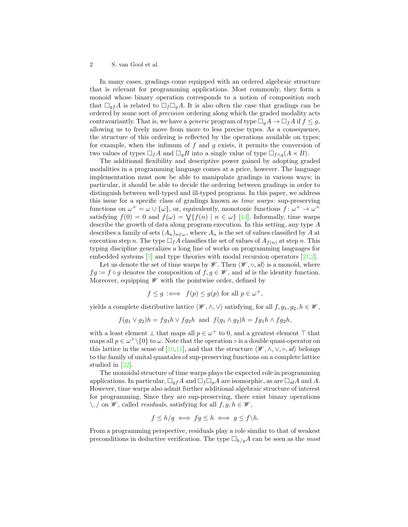In many cases, gradings come equipped with an ordered algebraic structure that is relevant for programming applications. Most commonly, they form a monoid whose binary operation corresponds to a notion of composition such that  $\Box_{qf}A$  is related to  $\Box_{f}\Box_{q}A$ . It is also often the case that gradings can be ordered by some sort of precision ordering along which the graded modality acts contravariantly. That is, we have a *generic* program of type  $\Box_a A \to \Box_f A$  if  $f \leq g$ , allowing us to freely move from more to less precise types. As a consequence, the structure of this ordering is reflected by the operations available on types; for example, when the infimum of  $f$  and  $g$  exists, it permits the conversion of two values of types  $\Box_f A$  and  $\Box_g B$  into a single value of type  $\Box_{f \wedge g}(A \times B)$ .

The additional flexibility and descriptive power gained by adopting graded modalities in a programming language comes at a price, however. The language implementation must now be able to manipulate gradings in various ways; in particular, it should be able to decide the ordering between gradings in order to distinguish between well-typed and ill-typed programs. In this paper, we address this issue for a specific class of gradings known as time warps: sup-preserving functions on  $\omega^+ = \omega \cup {\{\omega\}}$ , or, equivalently, monotonic functions  $f: \omega^+ \to \omega^+$ satisfying  $f(0) = 0$  and  $f(\omega) = \sqrt{\{f(n) \mid n \in \omega\}}$  [\[13\]](#page-15-7). Informally, time warps describe the growth of data along program execution. In this setting, any type A describes a family of sets  $(A_n)_{n\in\omega}$ , where  $A_n$  is the set of values classified by A at execution step n. The type  $\Box_f A$  classifies the set of values of  $A_{f(n)}$  at step n. This typing discipline generalizes a long line of works on programming languages for embedded systems [\[5\]](#page-15-8) and type theories with modal recursion operators [\[21,](#page-15-9)[2\]](#page-14-1).

Let us denote the set of time warps by  $\mathscr{W}$ . Then  $\langle \mathscr{W}, \circ, id \rangle$  is a monoid, where  $fg := f \circ g$  denotes the composition of  $f, g \in \mathscr{W}$ , and id is the identity function. Moreover, equipping  $\mathscr W$  with the pointwise order, defined by

$$
f \le g \iff f(p) \le g(p)
$$
 for all  $p \in \omega^+$ ,

yields a complete distributive lattice  $\langle \mathscr{W}, \wedge, \vee \rangle$  satisfying, for all  $f, g_1, g_2, h \in \mathscr{W}$ ,

$$
f(g_1 \vee g_2)h = fg_1h \vee fg_2h \text{ and } f(g_1 \wedge g_2)h = fg_1h \wedge fg_2h,
$$

with a least element  $\bot$  that maps all  $p \in \omega^+$  to 0, and a greatest element  $\top$  that maps all  $p \in \omega^+ \setminus \{0\}$  to  $\omega$ . Note that the operation  $\circ$  is a double quasi-operator on this lattice in the sense of [\[10](#page-15-10)[,11\]](#page-15-11), and that the structure  $\langle \mathscr{W}, \wedge, \vee, \circ, id \rangle$  belongs to the family of unital quantales of sup-preserving functions on a complete lattice studied in [\[22\]](#page-15-12).

The monoidal structure of time warps plays the expected role in programming applications. In particular,  $\Box_{qf}A$  and  $\Box_{f}\Box_{q}A$  are isomorphic, as are  $\Box_{id}A$  and A. However, time warps also admit further additional algebraic structure of interest for programming. Since they are sup-preserving, there exist binary operations  $\setminus$ , / on *W*, called *residuals*, satisfying for all  $f, g, h \in W$ ,

$$
f \le h/g \iff fg \le h \iff g \le f \backslash h.
$$

From a programming perspective, residuals play a role similar to that of weakest preconditions in deductive verification. The type  $\Box_{h/g}A$  can be seen as the most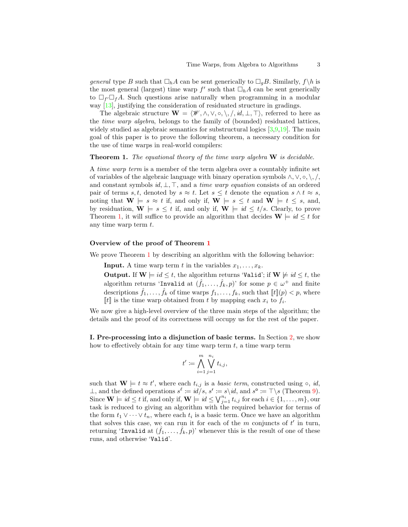general type B such that  $\Box_h A$  can be sent generically to  $\Box_q B$ . Similarly,  $f \n\setminus h$  is the most general (largest) time warp  $f'$  such that  $\Box_h A$  can be sent generically to  $\Box_f \Box_f A$ . Such questions arise naturally when programming in a modular way [\[13\]](#page-15-7), justifying the consideration of residuated structure in gradings.

The algebraic structure  $\mathbf{W} = \langle \mathcal{W}, \wedge, \vee, \circ, \setminus, \langle, id, \bot, \top \rangle$ , referred to here as the time warp algebra, belongs to the family of (bounded) residuated lattices, widely studied as algebraic semantics for substructural logics [\[3](#page-14-2)[,9](#page-15-13)[,19\]](#page-15-14). The main goal of this paper is to prove the following theorem, a necessary condition for the use of time warps in real-world compilers:

<span id="page-2-0"></span>**Theorem 1.** The equational theory of the time warp algebra  $W$  is decidable.

A time warp term is a member of the term algebra over a countably infinite set of variables of the algebraic language with binary operation symbols  $\wedge$ ,  $\vee$ ,  $\circ$ ,  $\wedge$ ,  $\wedge$ , and constant symbols  $id, \perp, \perp,$ , and a time warp equation consists of an ordered pair of terms s, t, denoted by  $s \approx t$ . Let  $s \leq t$  denote the equation  $s \wedge t \approx s$ , noting that  $\mathbf{W} \models s \approx t$  if, and only if,  $\mathbf{W} \models s \leq t$  and  $\mathbf{W} \models t \leq s$ , and, by residuation,  $\mathbf{W} \models s \leq t$  if, and only if,  $\mathbf{W} \models id \leq t/s$ . Clearly, to prove Theorem [1,](#page-2-0) it will suffice to provide an algorithm that decides  $\mathbf{W} \models \textit{id} \leq t$  for any time warp term t.

#### Overview of the proof of Theorem [1](#page-2-0)

We prove Theorem [1](#page-2-0) by describing an algorithm with the following behavior:

**Input.** A time warp term t in the variables  $x_1, \ldots, x_k$ .

**Output.** If  $W \models id \leq t$ , the algorithm returns 'Valid'; if  $W \not\models id \leq t$ , the algorithm returns 'Invalid at  $(\hat{f}_1, \ldots, \hat{f}_k, p)$ ' for some  $p \in \omega^+$  and finite descriptions  $\hat{f}_1, \ldots, \hat{f}_k$  of time warps  $f_1, \ldots, f_k$ , such that  $[[t]](p) < p$ , where  $\llbracket t \rrbracket$  is the time warp obtained from t by mapping each  $x_i$  to  $f_i$ .

We now give a high-level overview of the three main steps of the algorithm; the details and the proof of its correctness will occupy us for the rest of the paper.

I. Pre-processing into a disjunction of basic terms. In Section [2,](#page-4-0) we show how to effectively obtain for any time warp term  $t$ , a time warp term

$$
t' \coloneqq \bigwedge_{i=1}^m \bigvee_{j=1}^{n_i} t_{i,j},
$$

such that  $\mathbf{W} \models t \approx t'$ , where each  $t_{i,j}$  is a *basic term*, constructed using  $\circ$ , *id*, ⊥, and the defined operations  $s^{\ell} := id/s$ ,  $s^r := s \setminus id$ , and  $s^{\circ} := \top \setminus s$  (Theorem [9\)](#page-6-0). Since  $\mathbf{W} \models \textit{id} \leq t$  if, and only if,  $\mathbf{W} \models \textit{id} \leq \bigvee_{j=1}^{n_i} t_{i,j}$  for each  $i \in \{1, \ldots, m\}$ , our task is reduced to giving an algorithm with the required behavior for terms of the form  $t_1 \vee \cdots \vee t_n$ , where each  $t_i$  is a basic term. Once we have an algorithm that solves this case, we can run it for each of the  $m$  conjuncts of  $t'$  in turn, returning 'Invalid at  $(\hat{f}_1, \ldots, \hat{f}_k, p)$ ' whenever this is the result of one of these runs, and otherwise 'Valid'.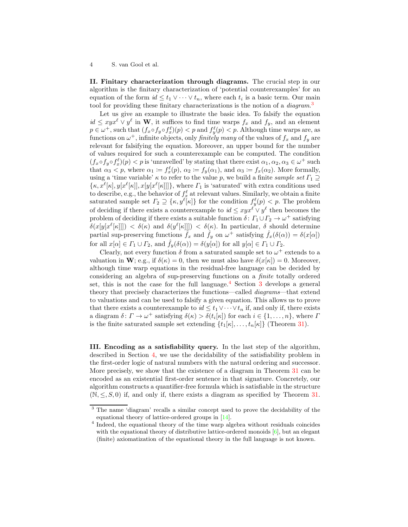II. Finitary characterization through diagrams. The crucial step in our algorithm is the finitary characterization of 'potential counterexamples' for an equation of the form  $id \leq t_1 \vee \cdots \vee t_n$ , where each  $t_i$  is a basic term. Our main tool for providing these finitary characterizations is the notion of a *diagram*.<sup>[3](#page-3-0)</sup>

Let us give an example to illustrate the basic idea. To falsify the equation  $id \leq xyx^{\ell} \vee y^{\ell}$  in W, it suffices to find time warps  $f_x$  and  $f_y$ , and an element  $p \in \omega^+$ , such that  $(f_x \circ f_y \circ f_x^{\ell})(p) < p$  and  $f_y^{\ell}(p) < p$ . Although time warps are, as functions on  $\omega^+$ , infinite objects, only *finitely many* of the values of  $f_x$  and  $f_y$  are relevant for falsifying the equation. Moreover, an upper bound for the number of values required for such a counterexample can be computed. The condition  $(f_x \circ f_y \circ f_x^{\ell})(p) < p$  is 'unravelled' by stating that there exist  $\alpha_1, \alpha_2, \alpha_3 \in \omega^+$  such that  $\alpha_3 < p$ , where  $\alpha_1 := f_x^{\ell}(p)$ ,  $\alpha_2 := f_y(\alpha_1)$ , and  $\alpha_3 := f_x(\alpha_2)$ . More formally, using a 'time variable'  $\kappa$  to refer to the value p, we build a finite sample set  $\Gamma_1 \supseteq$  $\{\kappa, x^{\ell}[\kappa], y[x^{\ell}[\kappa]], x[y[x^{\ell}[\kappa]]]\},\$  where  $\Gamma_1$  is 'saturated' with extra conditions used to describe, e.g., the behavior of  $f_x^{\ell}$  at relevant values. Similarly, we obtain a finite saturated sample set  $\Gamma_2 \supseteq {\kappa, y^{\ell}[\kappa]}$  for the condition  $f_y^{\ell}(p) < p$ . The problem of deciding if there exists a counterexample to  $id \leq xyx^{\ell} \vee y^{\ell}$  then becomes the problem of deciding if there exists a suitable function  $\delta\colon \Gamma_1 \cup \Gamma_2 \to \omega^+$  satisfying  $\delta(x[y[x^{\ell}[\kappa]]]) < \delta(\kappa)$  and  $\delta(y^{\ell}[\kappa]]] < \delta(\kappa)$ . In particular,  $\delta$  should determine partial sup-preserving functions  $\hat{f}_x$  and  $\hat{f}_y$  on  $\omega^+$  satisfying  $\hat{f}_x(\delta(\alpha)) = \delta(x[\alpha])$ for all  $x[\alpha] \in \Gamma_1 \cup \Gamma_2$ , and  $\hat{f}_y(\delta(\alpha)) = \delta(y[\alpha])$  for all  $y[\alpha] \in \Gamma_1 \cup \Gamma_2$ .

Clearly, not every function  $\delta$  from a saturated sample set to  $\omega^+$  extends to a valuation in  $\mathbf{W}$ ; e.g., if  $\delta(\kappa) = 0$ , then we must also have  $\delta(x|\kappa) = 0$ . Moreover, although time warp equations in the residual-free language can be decided by considering an algebra of sup-preserving functions on a finite totally ordered set, this is not the case for the full language. $4$  Section [3](#page-7-0) develops a general theory that precisely characterizes the functions—called diagrams—that extend to valuations and can be used to falsify a given equation. This allows us to prove that there exists a counterexample to  $id \leq t_1 \vee \cdots \vee t_n$  if, and only if, there exists a diagram  $\delta: \Gamma \to \omega^+$  satisfying  $\delta(\kappa) > \delta(t_i[\kappa])$  for each  $i \in \{1, \ldots, n\}$ , where  $\Gamma$ is the finite saturated sample set extending  $\{t_1[\kappa], \ldots, t_n[\kappa]\}\$  (Theorem [31\)](#page-11-0).

III. Encoding as a satisfiability query. In the last step of the algorithm, described in Section [4,](#page-11-1) we use the decidability of the satisfiability problem in the first-order logic of natural numbers with the natural ordering and successor. More precisely, we show that the existence of a diagram in Theorem [31](#page-11-0) can be encoded as an existential first-order sentence in that signature. Concretely, our algorithm constructs a quantifier-free formula which is satisfiable in the structure  $(N, \leq, S, 0)$  if, and only if, there exists a diagram as specified by Theorem [31.](#page-11-0)

<sup>3</sup> The name 'diagram' recalls a similar concept used to prove the decidability of the equational theory of lattice-ordered groups in [\[14\]](#page-15-15).

<span id="page-3-1"></span><span id="page-3-0"></span><sup>&</sup>lt;sup>4</sup> Indeed, the equational theory of the time warp algebra without residuals coincides with the equational theory of distributive lattice-ordered monoids  $[6]$ , but an elegant (finite) axiomatization of the equational theory in the full language is not known.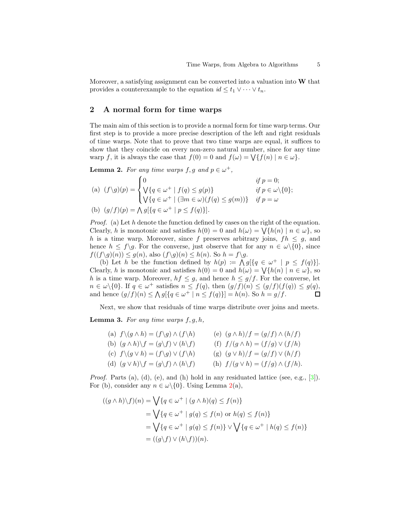Moreover, a satisfying assignment can be converted into a valuation into  $W$  that provides a counterexample to the equation  $id \leq t_1 \vee \cdots \vee t_n$ .

## <span id="page-4-0"></span>2 A normal form for time warps

The main aim of this section is to provide a normal form for time warp terms. Our first step is to provide a more precise description of the left and right residuals of time warps. Note that to prove that two time warps are equal, it suffices to show that they coincide on every non-zero natural number, since for any time warp f, it is always the case that  $f(0) = 0$  and  $f(\omega) = \sqrt{\{f(n) | n \in \omega\}}$ .

<span id="page-4-1"></span>**Lemma 2.** For any time warps  $f, g$  and  $p \in \omega^+$ ,

(a) 
$$
(f\setminus g)(p) = \begin{cases} 0 & \text{if } p = 0; \\ \bigvee\{q \in \omega^+ \mid f(q) \le g(p)\} & \text{if } p \in \omega \setminus \{0\}; \\ \bigvee\{q \in \omega^+ \mid (\exists m \in \omega)(f(q) \le g(m))\} & \text{if } p = \omega \end{cases}
$$

(b)  $(g/f)(p) = \bigwedge g[\{q \in \omega^+ \mid p \leq f(q)\}].$ 

*Proof.* (a) Let  $h$  denote the function defined by cases on the right of the equation. Clearly, h is monotonic and satisfies  $h(0) = 0$  and  $h(\omega) = \bigvee \{h(n) \mid n \in \omega\}$ , so h is a time warp. Moreover, since f preserves arbitrary joins,  $fh \leq g$ , and hence  $h \leq f\gtrsim g$ . For the converse, just observe that for any  $n \in \omega\setminus\{0\}$ , since  $f((f\backslash g)(n)) \leq g(n)$ , also  $(f\backslash g)(n) \leq h(n)$ . So  $h = f\backslash g$ .

(b) Let h be the function defined by  $h(p) := \bigwedge g[\{q \in \omega^+ \mid p \leq f(q)\}].$ Clearly, h is monotonic and satisfies  $h(0) = 0$  and  $h(\omega) = \bigvee \{h(n) \mid n \in \omega\}$ , so h is a time warp. Moreover,  $hf \leq g$ , and hence  $h \leq g/f$ . For the converse, let  $n \in \omega \setminus \{0\}$ . If  $q \in \omega^+$  satisfies  $n \leq f(q)$ , then  $(g/f)(n) \leq (g/f)(f(q)) \leq g(q)$ , and hence  $(g/f)(n) \le \bigwedge g[\{q \in \omega^+ \mid n \le f(q)\}] = h(n)$ . So  $h = g/f$ .

<span id="page-4-2"></span>Next, we show that residuals of time warps distribute over joins and meets.

**Lemma 3.** For any time warps  $f, q, h$ ,

| (a) $f \setminus (g \wedge h) = (f \setminus g) \wedge (f \setminus h)$  | (e) $(g \wedge h)/f = (g/f) \wedge (h/f)$ |  |
|--------------------------------------------------------------------------|-------------------------------------------|--|
| (b) $(g \wedge h) \backslash f = (g \backslash f) \vee (h \backslash f)$ | (f) $f/(g \wedge h) = (f/g) \vee (f/h)$   |  |
| (c) $f \setminus (g \vee h) = (f \setminus g) \vee (f \setminus h)$      | (g) $(g \vee h)/f = (g/f) \vee (h/f)$     |  |
| (d) $(g \vee h) \backslash f = (g \backslash f) \wedge (h \backslash f)$ | (h) $f/(g \vee h) = (f/g) \wedge (f/h).$  |  |

*Proof.* Parts (a), (d), (e), and (h) hold in any residuated lattice (see, e.g., [\[3\]](#page-14-2)). For (b), consider any  $n \in \omega \setminus \{0\}$ . Using Lemma [2\(](#page-4-1)a),

$$
((g \wedge h)\backslash f)(n) = \bigvee \{q \in \omega^+ \mid (g \wedge h)(q) \le f(n)\}
$$
  
= 
$$
\bigvee \{q \in \omega^+ \mid g(q) \le f(n) \text{ or } h(q) \le f(n)\}
$$
  
= 
$$
\bigvee \{q \in \omega^+ \mid g(q) \le f(n)\} \vee \bigvee \{q \in \omega^+ \mid h(q) \le f(n)\}
$$
  
= 
$$
((g\backslash f) \vee (h\backslash f))(n).
$$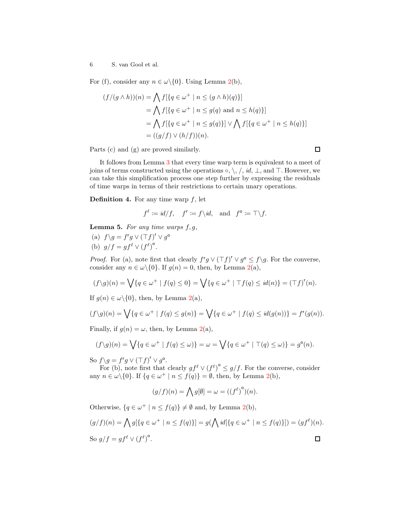For (f), consider any  $n \in \omega \setminus \{0\}$ . Using Lemma [2\(](#page-4-1)b),

$$
(f/(g \wedge h))(n) = \bigwedge f[\{q \in \omega^+ \mid n \le (g \wedge h)(q)\}]
$$
  
= 
$$
\bigwedge f[\{q \in \omega^+ \mid n \le g(q) \text{ and } n \le h(q)\}]
$$
  
= 
$$
\bigwedge f[\{q \in \omega^+ \mid n \le g(q)\}] \vee \bigwedge f[\{q \in \omega^+ \mid n \le h(q)\}]
$$
  
= 
$$
((g/f) \vee (h/f))(n).
$$

Parts (c) and (g) are proved similarly.

It follows from Lemma [3](#page-4-2) that every time warp term is equivalent to a meet of joins of terms constructed using the operations  $\circ, \setminus, \setminus, id$ ,  $\bot$ , and  $\top$ . However, we can take this simplification process one step further by expressing the residuals of time warps in terms of their restrictions to certain unary operations.

 $\Box$ 

**Definition 4.** For any time warp  $f$ , let

$$
f^{\ell} := id/f, \quad f^{\mathsf{r}} := f \backslash id, \text{ and } f^{\mathsf{o}} := \top \backslash f.
$$

<span id="page-5-0"></span>**Lemma 5.** For any time warps  $f, g$ ,

(a)  $f \gtrsim g = f^r g \vee (\top f)^r \vee g^{\circ}$ (b)  $g/f = gf^{\ell} \vee (f^{\ell})^{\circ}$ .

*Proof.* For (a), note first that clearly  $f'g \vee (\top f)' \vee g^{\circ} \leq f \setminus g$ . For the converse, consider any  $n \in \omega \backslash \{0\}$ . If  $g(n) = 0$ , then, by Lemma [2\(](#page-4-1)a),

$$
(f\setminus g)(n) = \bigvee \{q \in \omega^+ \mid f(q) \leq 0\} = \bigvee \{q \in \omega^+ \mid \top f(q) \leq id(n)\} = (\top f)^r(n).
$$

If  $g(n) \in \omega \backslash \{0\}$ , then, by Lemma [2\(](#page-4-1)a),

$$
(f\setminus g)(n) = \bigvee \{q \in \omega^+ \mid f(q) \le g(n)\} = \bigvee \{q \in \omega^+ \mid f(q) \le id(g(n))\} = f^r(g(n)).
$$

Finally, if  $g(n) = \omega$ , then, by Lemma [2\(](#page-4-1)a),

$$
(f\setminus g)(n) = \bigvee \{q \in \omega^+ \mid f(q) \le \omega)\} = \omega = \bigvee \{q \in \omega^+ \mid \top(q) \le \omega)\} = g^{\circ}(n).
$$

So  $f \gtrsim g \vee (\top f)^r \vee g^{\circ}$ .

For (b), note first that clearly  $gf^{\ell} \vee (f^{\ell})^{\circ} \leq g/f$ . For the converse, consider any  $n \in \omega \setminus \{0\}$ . If  $\{q \in \omega^+ \mid n \leq f(q)\} = \emptyset$ , then, by Lemma [2\(](#page-4-1)b),

$$
(g/f)(n)=\bigwedge g[\emptyset]=\omega=((f^\ell)^{\mathsf{o}})(n).
$$

Otherwise,  $\{q \in \omega^+ \mid n \leq f(q)\}\neq \emptyset$  and, by Lemma [2\(](#page-4-1)b),

$$
(g/f)(n) = \bigwedge g[\{q \in \omega^+ \mid n \le f(q)\}] = g(\bigwedge id[\{q \in \omega^+ \mid n \le f(q)\}]) = (gf^{\ell})(n).
$$
  
So 
$$
g/f = gf^{\ell} \vee (f^{\ell})^{\circ}.
$$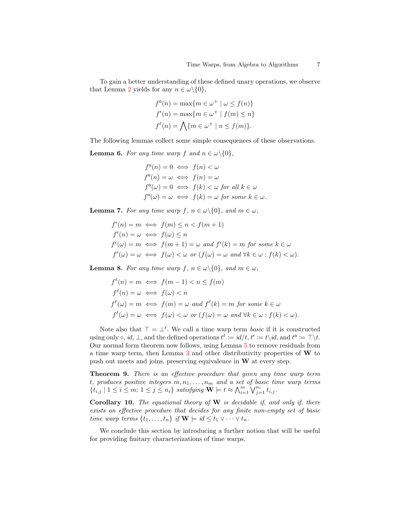To gain a better understanding of these defined unary operations, we observe that Lemma [2](#page-4-1) yields for any  $n \in \omega \backslash \{0\},\$ 

$$
f^{\circ}(n) = \max\{m \in \omega^{+} \mid \omega \le f(n)\}
$$
  

$$
f'(n) = \max\{m \in \omega^{+} \mid f(m) \le n\}
$$
  

$$
f^{\ell}(n) = \bigwedge\{m \in \omega^{+} \mid n \le f(m)\}.
$$

<span id="page-6-2"></span>The following lemmas collect some simple consequences of these observations.

**Lemma 6.** For any time warp f and  $n \in \omega \setminus \{0\}$ ,

$$
f^{\circ}(n) = 0 \iff f(n) < \omega
$$
\n
$$
f^{\circ}(n) = \omega \iff f(n) = \omega
$$
\n
$$
f^{\circ}(\omega) = 0 \iff f(k) < \omega \text{ for all } k \in \omega
$$
\n
$$
f^{\circ}(\omega) = \omega \iff f(k) = \omega \text{ for some } k \in \omega.
$$

<span id="page-6-3"></span>**Lemma 7.** For any time warp  $f, n \in \omega \setminus \{0\}$ , and  $m \in \omega$ ,

$$
f'(n) = m \iff f(m) \le n < f(m+1)
$$
\n
$$
f'(n) = \omega \iff f(\omega) \le n
$$
\n
$$
f'(\omega) = m \iff f(m+1) = \omega \text{ and } f'(k) = m \text{ for some } k \in \omega
$$
\n
$$
f'(k) = \omega \iff f(\omega) < \omega \text{ or } (f(\omega) = \omega \text{ and } \forall k \in \omega : f(k) < \omega).
$$

<span id="page-6-4"></span>**Lemma 8.** For any time warp  $f, n \in \omega \setminus \{0\}$ , and  $m \in \omega$ ,

$$
f^{\ell}(n) = m \iff f(m-1) < n \le f(m)
$$
\n
$$
f^{\ell}(n) = \omega \iff f(\omega) < n
$$
\n
$$
f^{\ell}(\omega) = m \iff f(m) = \omega \text{ and } f^{\ell}(k) = m \text{ for some } k \in \omega
$$
\n
$$
f^{\ell}(\omega) = \omega \iff f(\omega) < \omega \text{ or } (f(\omega) = \omega \text{ and } \forall k \in \omega : f(k) < \omega).
$$

Note also that  $\top = \bot^{\ell}$ . We call a time warp term *basic* if it is constructed using only  $\circ$ , id,  $\perp$ , and the defined operations  $t^{\ell} := id/t$ ,  $t^r := t \setminus id$ , and  $t^o := \top \setminus t$ . Our normal form theorem now follows, using Lemma [5](#page-5-0) to remove residuals from a time warp term, then Lemma [3](#page-4-2) and other distributivity properties of W to push out meets and joins, preserving equivalence in  $W$  at every step.

<span id="page-6-0"></span>Theorem 9. There is an effective procedure that given any time warp term t, produces positive integers  $m, n_1, \ldots, n_m$  and a set of basic time warp terms  ${t_{i,j} | 1 \leq i \leq m; 1 \leq j \leq n_i}$  satisfying  $\mathbf{W} \models t \approx \bigwedge_{i=1}^{m} \bigvee_{j=1}^{n_i} t_{i,j}$ .

<span id="page-6-1"></span>Corollary 10. The equational theory of  $W$  is decidable if, and only if, there exists an effective procedure that decides for any finite non-empty set of basic time warp terms  $\{t_1, \ldots, t_n\}$  if  $\mathbf{W} \models \textit{id} \leq t_1 \vee \cdots \vee t_n$ .

We conclude this section by introducing a further notion that will be useful for providing finitary characterizations of time warps.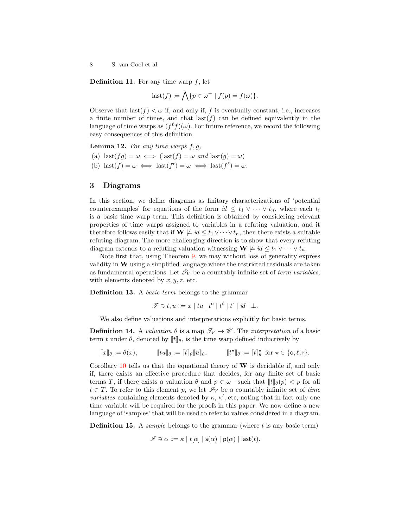**Definition 11.** For any time warp  $f$ , let

$$
last(f) := \bigwedge \{ p \in \omega^+ \mid f(p) = f(\omega) \}.
$$

Observe that last  $(f) < \omega$  if, and only if, f is eventually constant, i.e., increases a finite number of times, and that  $\text{last}(f)$  can be defined equivalently in the language of time warps as  $(f^{\ell} f)(\omega)$ . For future reference, we record the following easy consequences of this definition.

<span id="page-7-1"></span>**Lemma 12.** For any time warps  $f, g$ ,

- (a)  $\text{last}(fg) = \omega \iff (\text{last}(f) = \omega \text{ and } \text{last}(g) = \omega)$ (b)  $\text{last}(f) = \omega \iff \text{last}(f^r) = \omega \iff \text{last}(f^{\ell}) = \omega.$
- <span id="page-7-0"></span>3 Diagrams

## In this section, we define diagrams as finitary characterizations of 'potential counterexamples' for equations of the form  $id \leq t_1 \vee \cdots \vee t_n$ , where each  $t_i$ is a basic time warp term. This definition is obtained by considering relevant properties of time warps assigned to variables in a refuting valuation, and it therefore follows easily that if  $\mathbf{W} \not\models id \leq t_1 \vee \cdots \vee t_n$ , then there exists a suitable refuting diagram. The more challenging direction is to show that every refuting diagram extends to a refuting valuation witnessing  $\mathbf{W} \not\models id \leq t_1 \vee \cdots \vee t_n$ .

Note first that, using Theorem [9,](#page-6-0) we may without loss of generality express validity in  $W$  using a simplified language where the restricted residuals are taken as fundamental operations. Let  $\mathcal{T}_V$  be a countably infinite set of *term variables*, with elements denoted by  $x, y, z$ , etc.

Definition 13. A *basic term* belongs to the grammar

$$
\mathcal{T} \ni t, u ::= x \mid tu \mid t^{\circ} \mid t^{\ell} \mid t^{\mathsf{r}} \mid id \mid \bot.
$$

We also define valuations and interpretations explicitly for basic terms.

**Definition 14.** A valuation  $\theta$  is a map  $\mathcal{T}_V \to \mathcal{W}$ . The interpretation of a basic term t under  $\theta$ , denoted by  $[[t]]_{\theta}$ , is the time warp defined inductively by

$$
[\![x]\!]_\theta:=\theta(x), \qquad \quad [\![tu]\!]_\theta:=[\![t]\!]_\theta [\![u]\!]_\theta, \qquad \quad [\![t^\star]\!]_\theta:=[\![t]\!]_\theta^\star \ \ \text{for} \ \star\in\{\mathsf{o},\ell,\mathsf{r}\}.
$$

Corollary  $10$  tells us that the equational theory of W is decidable if, and only if, there exists an effective procedure that decides, for any finite set of basic terms T, if there exists a valuation  $\theta$  and  $p \in \omega^+$  such that  $[[t]]_{\theta}(p) < p$  for all  $t \in T$ . To refer to this element p, we let  $\mathscr{I}_V$  be a countably infinite set of time *variables* containing elements denoted by  $\kappa$ ,  $\kappa'$ , etc, noting that in fact only one time variable will be required for the proofs in this paper. We now define a new language of 'samples' that will be used to refer to values considered in a diagram.

**Definition 15.** A *sample* belongs to the grammar (where  $t$  is any basic term)

$$
\mathscr{I} \ni \alpha ::= \kappa \mid t[\alpha] \mid \mathsf{s}(\alpha) \mid \mathsf{p}(\alpha) \mid \mathsf{last}(t).
$$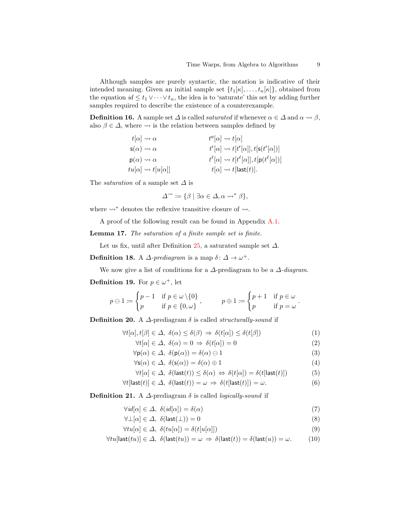Although samples are purely syntactic, the notation is indicative of their intended meaning. Given an initial sample set  $\{t_1[\kappa], \ldots, t_n[\kappa]\}\)$ , obtained from the equation  $id \leq t_1 \vee \cdots \vee t_n$ , the idea is to 'saturate' this set by adding further samples required to describe the existence of a counterexample.

**Definition 16.** A sample set  $\Delta$  is called *saturated* if whenever  $\alpha \in \Delta$  and  $\alpha \leadsto \beta$ , also  $\beta \in \Delta$ , where  $\rightsquigarrow$  is the relation between samples defined by

| $t[\alpha] \rightsquigarrow \alpha$        | $t^{\circ}[\alpha] \rightsquigarrow t[\alpha]$                                     |
|--------------------------------------------|------------------------------------------------------------------------------------|
| $s(\alpha) \rightsquigarrow \alpha$        | $t^{\circ}[\alpha] \rightsquigarrow t[t^{\circ}[\alpha]], t[s(t^{\circ}[\alpha])]$ |
| $p(\alpha) \rightsquigarrow \alpha$        | $t^{\ell}[\alpha] \rightsquigarrow t[t^{\ell}[\alpha]], t[p(t^{\ell}[\alpha])]$    |
| $tu[\alpha] \rightsquigarrow t[u[\alpha]]$ | $t[\alpha] \rightsquigarrow t[\text{last}(t)].$                                    |

The *saturation* of a sample set  $\Delta$  is

$$
\Delta^{\sim} \coloneqq \{ \beta \mid \exists \alpha \in \Delta, \alpha \leadsto^* \beta \},
$$

where  $\rightsquigarrow^*$  denotes the reflexive transitive closure of  $\rightsquigarrow$ .

<span id="page-8-4"></span>A proof of the following result can be found in Appendix [A.1.](#page-16-0)

Lemma 17. The saturation of a finite sample set is finite.

Let us fix, until after Definition [25,](#page-9-0) a saturated sample set  $\Delta$ .

**Definition 18.** A  $\Delta$ -prediagram is a map  $\delta: \Delta \to \omega^+$ .

We now give a list of conditions for a  $\Delta$ -prediagram to be a  $\Delta$ -diagram.

**Definition 19.** For  $p \in \omega^+$ , let

$$
p \ominus 1 := \begin{cases} p-1 & \text{if } p \in \omega \setminus \{0\} \\ p & \text{if } p \in \{0,\omega\} \end{cases}, \qquad p \oplus 1 := \begin{cases} p+1 & \text{if } p \in \omega \\ p & \text{if } p = \omega \end{cases}.
$$

<span id="page-8-5"></span>**Definition 20.** A  $\Delta$ -prediagram  $\delta$  is called *structurally-sound* if

$$
\forall t[\alpha], t[\beta] \in \Delta, \ \delta(\alpha) \le \delta(\beta) \Rightarrow \delta(t[\alpha]) \le \delta(t[\beta]) \tag{1}
$$

<span id="page-8-7"></span><span id="page-8-6"></span><span id="page-8-2"></span><span id="page-8-0"></span>
$$
\forall t[\alpha] \in \Delta, \ \delta(\alpha) = 0 \Rightarrow \delta(t[\alpha]) = 0 \tag{2}
$$

$$
\forall \mathbf{p}(\alpha) \in \Delta, \ \delta(\mathbf{p}(\alpha)) = \delta(\alpha) \ominus 1 \tag{3}
$$

<span id="page-8-9"></span><span id="page-8-8"></span><span id="page-8-3"></span><span id="page-8-1"></span>
$$
\forall \mathbf{s}(\alpha) \in \Delta, \ \delta(\mathbf{s}(\alpha)) = \delta(\alpha) \oplus 1 \tag{4}
$$

$$
\forall t[\alpha] \in \Delta, \ \delta(\mathsf{last}(t)) \le \delta(\alpha) \Leftrightarrow \delta(t[\alpha]) = \delta(t[\mathsf{last}(t)]) \tag{5}
$$

$$
\forall t[\mathsf{last}(t)] \in \Delta, \ \delta(\mathsf{last}(t)) = \omega \Rightarrow \delta(t[\mathsf{last}(t)]) = \omega. \tag{6}
$$

**Definition 21.** A  $\Delta$ -prediagram  $\delta$  is called *logically-sound* if

$$
\forall id[\alpha] \in \Delta, \ \delta(id[\alpha]) = \delta(\alpha) \tag{7}
$$

$$
\forall \bot[\alpha] \in \Delta, \ \delta(\mathsf{last}(\bot)) = 0 \tag{8}
$$

<span id="page-8-11"></span><span id="page-8-10"></span>
$$
\forall tu[\alpha] \in \Delta, \ \delta(tu[\alpha]) = \delta(t[u[\alpha]]) \tag{9}
$$

$$
\forall tu[{\mathsf{last}}(tu)] \in \Delta, \ \delta({\mathsf{last}}(tu)) = \omega \ \Rightarrow \ \delta({\mathsf{last}}(t)) = \delta({\mathsf{last}}(u)) = \omega. \tag{10}
$$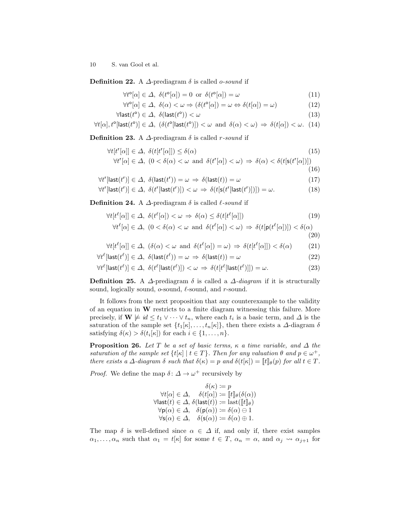**Definition 22.** A  $\Delta$ -prediagram  $\delta$  is called *o-sound* if

$$
\forall t^{\circ}[\alpha] \in \Delta, \ \delta(t^{\circ}[\alpha]) = 0 \ \text{or} \ \delta(t^{\circ}[\alpha]) = \omega \tag{11}
$$

$$
\forall t^{\circ}[\alpha] \in \Delta, \ \delta(\alpha) < \omega \Rightarrow (\delta(t^{\circ}[\alpha]) = \omega \Leftrightarrow \delta(t[\alpha]) = \omega) \tag{12}
$$

$$
\forall \mathsf{last}(t^{\mathsf{o}}) \in \Delta, \ \delta(\mathsf{last}(t^{\mathsf{o}})) < \omega \tag{13}
$$

$$
\forall t[\alpha], t^{\text{o}}[\mathsf{last}(t^{\text{o}})] \in \varDelta, \ (\delta(t^{\text{o}}[\mathsf{last}(t^{\text{o}})]) < \omega \ \text{ and } \ \delta(\alpha) < \omega) \ \Rightarrow \ \delta(t[\alpha]) < \omega. \tag{14}
$$

**Definition 23.** A  $\Delta$ -prediagram  $\delta$  is called *r*-sound if

$$
\forall t[t^{r}[\alpha]] \in \Delta, \ \delta(t[t^{r}[\alpha]]) \leq \delta(\alpha) \tag{15}
$$
  

$$
\forall t^{r}[\alpha] \in \Delta, \ (0 < \delta(\alpha) < \omega \text{ and } \delta(t^{r}[\alpha]) < \omega) \Rightarrow \delta(\alpha) < \delta(t[s(t^{r}[\alpha])])
$$

<span id="page-9-11"></span><span id="page-9-10"></span><span id="page-9-9"></span><span id="page-9-8"></span><span id="page-9-7"></span><span id="page-9-6"></span><span id="page-9-5"></span><span id="page-9-4"></span>
$$
^{(1)} \quad (16)
$$

$$
\forall t^r[\mathsf{last}(t^r)] \in \Delta, \ \delta(\mathsf{last}(t^r)) = \omega \ \Rightarrow \ \delta(\mathsf{last}(t)) = \omega \tag{17}
$$

$$
\forall t^r[\mathsf{last}(t^r)] \in \Delta, \ \delta(t^r[\mathsf{last}(t^r)]) < \omega \ \Rightarrow \ \delta(t[\mathsf{s}(t^r[\mathsf{last}(t^r)])]) = \omega. \tag{18}
$$

<span id="page-9-3"></span>**Definition 24.** A  $\Delta$ -prediagram  $\delta$  is called  $\ell$ -sound if

$$
\forall t[t^{\ell}[\alpha]] \in \Delta, \ \delta(t^{\ell}[\alpha]) < \omega \Rightarrow \delta(\alpha) \leq \delta(t[t^{\ell}[\alpha]]) \tag{19}
$$
\n
$$
\forall t^{\ell}[\alpha] \in \Delta, \ (0 < \delta(\alpha) < \omega \text{ and } \delta(t^{\ell}[\alpha]) < \omega) \Rightarrow \delta(t[\mathsf{p}(t^{\ell}[\alpha])]) < \delta(\alpha)
$$

<span id="page-9-15"></span><span id="page-9-14"></span><span id="page-9-13"></span><span id="page-9-12"></span><span id="page-9-1"></span>
$$
(20)
$$

$$
\forall t[t^{\ell}[\alpha]] \in \Delta, \ (\delta(\alpha) < \omega \ \text{and} \ \delta(t^{\ell}[\alpha]) = \omega) \Rightarrow \delta(t[t^{\ell}[\alpha]]) < \delta(\alpha) \tag{21}
$$

$$
\forall t^{\ell}[\mathsf{last}(t^{\ell})] \in \Delta, \ \delta(\mathsf{last}(t^{\ell})) = \omega \ \Rightarrow \ \delta(\mathsf{last}(t)) = \omega \tag{22}
$$

$$
\forall t^{\ell}[\mathsf{last}(t^{\ell})] \in \Delta, \ \delta(t^{\ell}[\mathsf{last}(t^{\ell})]) < \omega \Rightarrow \delta(t[t^{\ell}[\mathsf{last}(t^{\ell})]]) = \omega. \tag{23}
$$

<span id="page-9-0"></span>Definition 25. A  $\Delta$ -prediagram  $\delta$  is called a  $\Delta$ -diagram if it is structurally sound, logically sound,  $o$ -sound,  $\ell$ -sound, and r-sound.

It follows from the next proposition that any counterexample to the validity of an equation in W restricts to a finite diagram witnessing this failure. More precisely, if  $\mathbf{W} \not\models id \leq t_1 \vee \cdots \vee t_n$ , where each  $t_i$  is a basic term, and  $\Delta$  is the saturation of the sample set  $\{t_1[\kappa], \ldots, t_n[\kappa]\}$ , then there exists a  $\Delta$ -diagram  $\delta$ satisfying  $\delta(\kappa) > \delta(t_i[\kappa])$  for each  $i \in \{1, \ldots, n\}.$ 

<span id="page-9-2"></span>**Proposition 26.** Let T be a set of basic terms,  $\kappa$  a time variable, and  $\Delta$  the saturation of the sample set  $\{t[\kappa] \mid t \in T\}$ . Then for any valuation  $\theta$  and  $p \in \omega^+$ , there exists a  $\Delta$ -diagram  $\delta$  such that  $\delta(\kappa) = p$  and  $\delta(t|\kappa) = \llbracket t \rrbracket_{\theta}(p)$  for all  $t \in T$ .

*Proof.* We define the map  $\delta: \Delta \to \omega^+$  recursively by

 $\delta(\kappa) := p$  $\forall t[\alpha] \in \Delta, \quad \delta(t[\alpha]) := [t]_{\theta}(\delta(\alpha))$  $\forall$ last $(t) \in \Delta$ ,  $\delta$ (last $(t)$ ) := last $(\llbracket t \rrbracket_{\theta})$  $\forall p(\alpha) \in \Delta$ ,  $\delta(p(\alpha)) \coloneqq \delta(\alpha) \ominus 1$  $\forall$ s $(\alpha) \in \Delta$ ,  $\delta$ (s $(\alpha)$ ) :=  $\delta(\alpha) \oplus 1$ .

The map  $\delta$  is well-defined since  $\alpha \in \Delta$  if, and only if, there exist samples  $\alpha_1, \ldots, \alpha_n$  such that  $\alpha_1 = t[\kappa]$  for some  $t \in T$ ,  $\alpha_n = \alpha$ , and  $\alpha_j \leadsto \alpha_{j+1}$  for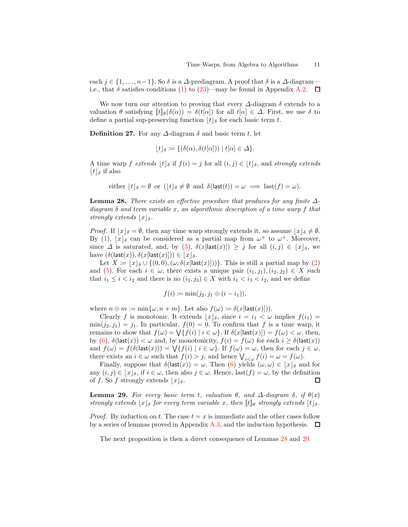each  $j \in \{1, \ldots, n-1\}$ . So  $\delta$  is a  $\Delta$ -prediagram. A proof that  $\delta$  is a  $\Delta$ -diagram i.e., that  $\delta$  satisfies conditions [\(1\)](#page-8-0) to [\(23\)](#page-9-1)—may be found in Appendix [A.2.](#page-18-0)  $\Box$ 

We now turn our attention to proving that every  $\Delta$ -diagram  $\delta$  extends to a valuation  $\theta$  satisfying  $\|t\|_{\theta}(\delta(\alpha)) = \delta(t|\alpha|)$  for all  $t|\alpha| \in \Delta$ . First, we use  $\delta$  to define a partial sup-preserving function  $|t|_{\delta}$  for each basic term t.

**Definition 27.** For any  $\Delta$ -diagram  $\delta$  and basic term t, let

$$
\lfloor t \rfloor_{\delta} \coloneqq \{ (\delta(\alpha), \delta(t[\alpha])) \mid t[\alpha] \in \Delta \}.
$$

A time warp f extends  $\lfloor t \rfloor_{\delta}$  if  $f(i) = j$  for all  $(i, j) \in \lfloor t \rfloor_{\delta}$ , and strongly extends  $|t|_{\delta}$  if also

either 
$$
\lfloor t \rfloor_{\delta} = \emptyset
$$
 or  $\lfloor \lfloor t \rfloor_{\delta} \neq \emptyset$  and  $\delta(\mathsf{last}(t)) = \omega \implies \mathsf{last}(f) = \omega)$ .

<span id="page-10-0"></span>**Lemma 28.** There exists an effective procedure that produces for any finite  $\Delta$ diagram  $\delta$  and term variable x, an algorithmic description of a time warp f that strongly extends  $|x|_{\delta}$ .

*Proof.* If  $|x|_{\delta} = \emptyset$ , then any time warp strongly extends it, so assume  $|x|_{\delta} \neq \emptyset$ . By [\(1\)](#page-8-0),  $\lfloor x \rfloor_{\delta}$  can be considered as a partial map from  $\omega^+$  to  $\omega^+$ . Moreover, since  $\Delta$  is saturated, and, by [\(5\)](#page-8-1),  $\delta(x[\text{last}(x)]) \geq j$  for all  $(i, j) \in |x|_{\delta}$ , we have  $(\delta(\textsf{last}(x)), \delta(x|\textsf{last}(x)|)) \in |x|_{\delta}$ .

Let  $X := |x|_{\delta} \cup \{(0,0),(\omega,\delta(x[\text{last}(x)]))\}.$  This is still a partial map by [\(2\)](#page-8-2) and [\(5\)](#page-8-1). For each  $i \in \omega$ , there exists a unique pair  $(i_1, j_1), (i_2, j_2) \in X$  such that  $i_1 \leq i \leq i_2$  and there is no  $(i_3, j_3) \in X$  with  $i_1 \leq i_3 \leq i_2$ , and we define

$$
f(i) \coloneqq \min(j_2, j_1 \oplus (i - i_1)),
$$

where  $n \oplus m := \min\{\omega, n + m\}$ . Let also  $f(\omega) := \delta(x[\textsf{last}(x)])$ .

Clearly f is monotonic. It extends  $\lfloor x \rfloor_{\delta}$ , since  $i = i_1 < \omega$  implies  $f(i_1) =$  $\min(j_2, j_1) = j_1$ . In particular,  $f(0) = 0$ . To confirm that f is a time warp, it remains to show that  $f(\omega) = \bigvee \{ f(i) \mid i \in \omega \}.$  If  $\delta(x[\textsf{last}(x)]) = f(\omega) < \omega$ , then, by [\(6\)](#page-8-3),  $\delta(\textsf{last}(x)) < \omega$  and, by monotonicity,  $f(i) = f(\omega)$  for each  $i \geq \delta(\textsf{last}(x))$ and  $f(\omega) = f(\delta(\textsf{last}(x))) = \bigvee \{f(i) \mid i \in \omega\}$ . If  $f(\omega) = \omega$ , then for each  $j \in \omega$ , there exists an  $i \in \omega$  such that  $f(i) > j$ , and hence  $\bigvee_{i \leq \omega} f(i) = \omega = f(\omega)$ .

Finally, suppose that  $\delta(\mathsf{last}(x)) = \omega$ . Then [\(6\)](#page-8-3) yields  $(\omega, \omega) \in \lfloor x \rfloor_{\delta}$  and for any  $(i, j) \in \lfloor x \rfloor_{\delta}$ , if  $i \in \omega$ , then also  $j \in \omega$ . Hence, last $(f) = \omega$ , by the definition of f. So f strongly extends  $|x|_{\delta}$ . □

<span id="page-10-1"></span>**Lemma 29.** For every basic term t, valuation  $\theta$ , and  $\Delta$ -diagram  $\delta$ , if  $\theta(x)$ strongly extends  $\lfloor x \rfloor_{\delta}$  for every term variable x, then  $\llbracket t \rrbracket_{\theta}$  strongly extends  $\lfloor t \rfloor_{\delta}$ .

*Proof.* By induction on t. The case  $t = x$  is immediate and the other cases follow by a series of lemmas proved in Appendix [A.3,](#page-19-0) and the induction hypothesis.  $\Box$ 

<span id="page-10-2"></span>The next proposition is then a direct consequence of Lemmas [28](#page-10-0) and [29.](#page-10-1)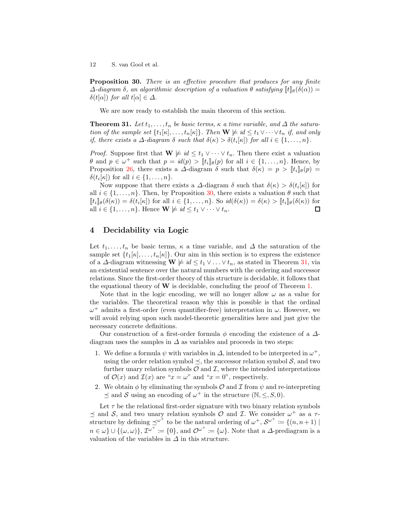**Proposition 30.** There is an effective procedure that produces for any finite  $\Delta$ -diagram  $\delta$ , an algorithmic description of a valuation  $\theta$  satisfying  $\llbracket \mathbf{t} \rrbracket_{\theta}(\delta(\alpha)) =$ δ(t[α]) for all t[α] ∈ Δ.

<span id="page-11-0"></span>We are now ready to establish the main theorem of this section.

**Theorem 31.** Let  $t_1, \ldots, t_n$  be basic terms,  $\kappa$  a time variable, and  $\Delta$  the saturation of the sample set  $\{t_1[\kappa], \ldots, t_n[\kappa]\}$ . Then  $\mathbf{W} \not\models id \leq t_1 \vee \cdots \vee t_n$  if, and only if, there exists a  $\Delta$ -diagram  $\delta$  such that  $\delta(\kappa) > \delta(t_i[\kappa])$  for all  $i \in \{1, \ldots, n\}$ .

*Proof.* Suppose first that  $\mathbf{W} \not\models id \leq t_1 \vee \cdots \vee t_n$ . Then there exist a valuation  $\theta$  and  $p \in \omega^+$  such that  $p = id(p) > [t_i]_{\theta}(p)$  for all  $i \in \{1, ..., n\}$ . Hence, by Proposition [26,](#page-9-2) there exists a  $\Delta$ -diagram  $\delta$  such that  $\delta(\kappa) = p > ||t_i||_{\theta}(p) =$  $\delta(t_i[\kappa])$  for all  $i \in \{1, \ldots, n\}.$ 

Now suppose that there exists a  $\Delta$ -diagram  $\delta$  such that  $\delta(\kappa) > \delta(t_i[\kappa])$  for all  $i \in \{1, \ldots, n\}$ . Then, by Proposition [30,](#page-10-2) there exists a valuation  $\theta$  such that  $[\![t_i]\!]_{\theta}(\delta(\kappa)) = \delta(t_i[\kappa])$  for all  $i \in \{1, \ldots, n\}$ . So  $id(\delta(\kappa)) = \delta(\kappa) > [\![t_i]\!]_{\theta}(\delta(\kappa))$  for all  $i \in \{1, \ldots, n\}$ . Hence  $\mathbf{W} \not\models id \leq t_1 \vee \cdots \vee t_n$ .  $\Box$ 

## <span id="page-11-1"></span>4 Decidability via Logic

Let  $t_1, \ldots, t_n$  be basic terms,  $\kappa$  a time variable, and  $\Delta$  the saturation of the sample set  $\{t_1[\kappa], \ldots, t_n[\kappa]\}\)$ . Our aim in this section is to express the existence of a  $\Delta$ -diagram witnessing  $\mathbf{W} \not\models \textit{id} \leq t_1 \vee \ldots \vee t_n$ , as stated in Theorem [31,](#page-11-0) via an existential sentence over the natural numbers with the ordering and successor relations. Since the first-order theory of this structure is decidable, it follows that the equational theory of  $\bf{W}$  is decidable, concluding the proof of Theorem [1.](#page-2-0)

Note that in the logic encoding, we will no longer allow  $\omega$  as a value for the variables. The theoretical reason why this is possible is that the ordinal  $\omega^+$  admits a first-order (even quantifier-free) interpretation in  $\omega$ . However, we will avoid relying upon such model-theoretic generalities here and just give the necessary concrete definitions.

Our construction of a first-order formula  $\phi$  encoding the existence of a  $\Delta$ diagram uses the samples in  $\Delta$  as variables and proceeds in two steps:

- 1. We define a formula  $\psi$  with variables in  $\Delta$ , intended to be interpreted in  $\omega^+$ , using the order relation symbol  $\preceq$ , the successor relation symbol S, and two further unary relation symbols  $\mathcal O$  and  $\mathcal I$ , where the intended interpretations of  $\mathcal{O}(x)$  and  $\mathcal{I}(x)$  are " $x = \omega$ " and " $x = 0$ ", respectively.
- 2. We obtain  $\phi$  by eliminating the symbols  $\mathcal O$  and  $\mathcal I$  from  $\psi$  and re-interpreting  $\preceq$  and S using an encoding of  $\omega^+$  in the structure  $(\mathbb{N}, \leq, S, 0)$ .

Let  $\tau$  be the relational first-order signature with two binary relation symbols  $\preceq$  and S, and two unary relation symbols O and I. We consider  $\omega^+$  as a  $\tau$ structure by defining  $\preceq^{\omega^+}$  to be the natural ordering of  $\omega^+$ ,  $\mathcal{S}^{\omega^+} \coloneqq \{(n, n+1) \mid$  $n \in \omega \} \cup \{(\omega, \omega)\}, \mathcal{I}^{\omega^+} := \{0\},\$ and  $\mathcal{O}^{\omega^+} := \{\omega\}.$  Note that a  $\Delta$ -prediagram is a valuation of the variables in  $\Delta$  in this structure.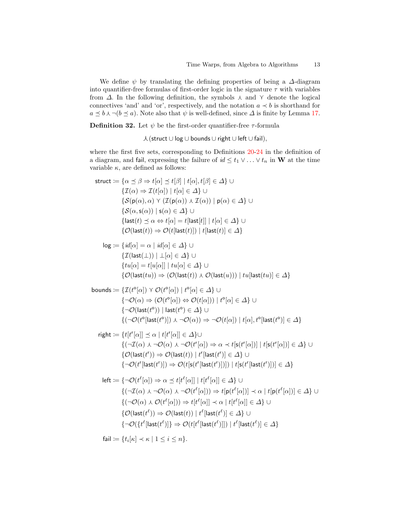We define  $\psi$  by translating the defining properties of being a  $\Delta$ -diagram into quantifier-free formulas of first-order logic in the signature  $\tau$  with variables from  $\Delta$ . In the following definition, the symbols  $\lambda$  and  $\gamma$  denote the logical connectives 'and' and 'or', respectively, and the notation  $a \prec b$  is shorthand for  $a \leq b \land \neg (b \leq a)$ . Note also that  $\psi$  is well-defined, since  $\Delta$  is finite by Lemma [17.](#page-8-4)

<span id="page-12-0"></span>**Definition 32.** Let  $\psi$  be the first-order quantifier-free  $\tau$ -formula

f(struct ∪ log ∪ bounds ∪ right ∪ left ∪ fail),

where the first five sets, corresponding to Definitions [20](#page-8-5)[-24](#page-9-3) in the definition of a diagram, and fail, expressing the failure of  $id \leq t_1 \vee \ldots \vee t_n$  in W at the time variable  $\kappa$ , are defined as follows:

struct := {
$$
\alpha \leq \beta \Rightarrow t[\alpha] \leq t[\beta] | t[\alpha], t[\beta] \in \Delta
$$
}  $\cup$   
\n{ $\mathcal{I}(\alpha) \Rightarrow \mathcal{I}(t[\alpha]) | t[\alpha] \in \Delta$ }  $\cup$   
\n{ $\mathcal{S}(\mathsf{p}(\alpha), \alpha) \land (\mathcal{I}(\mathsf{p}(\alpha)) \land \mathcal{I}(\alpha)) | \mathsf{p}(\alpha) \in \Delta$ }  $\cup$   
\n{ $\mathcal{S}(\alpha, \mathsf{s}(\alpha)) | \mathsf{s}(\alpha) \in \Delta$ }  $\cup$   
\n{ $\mathcal{S}(\alpha, \mathsf{s}(\alpha)) | \mathsf{s}(\alpha) \in \Delta$ }  $\cup$   
\n{ $\mathcal{S}(\alpha, \mathsf{s}(\alpha)) | \mathsf{s}(\alpha) \in \Delta$ }  $\cup$   
\n{ $\mathcal{O}(\mathsf{last}(t)) \Rightarrow \mathcal{O}(t[\mathsf{last}(t)]) | t[\mathsf{last}(t)] \in \Delta$ }  
\nlog := { $id[\alpha] = \alpha | id[\alpha] \in \Delta$ }  $\cup$   
\n{ $\mathcal{I}(\mathsf{last}(\bot)) | \bot[\alpha] \in \Delta$ }  $\cup$   
\n{ $\mathcal{O}(\mathsf{last}(t)) | t[\alpha] \in \Delta$ }  $\cup$   
\n{ $\mathcal{O}(\mathsf{last}(t)) | t[\alpha] \in \Delta$ }  $\cup$   
\n{ $\mathcal{O}(\mathsf{last}(t)) \Rightarrow \mathcal{O}(\mathsf{last}(t)) \land \mathcal{O}(\mathsf{last}(u)) \cap \mathsf{true}[\mathsf{last}(tu)] \in \Delta$ }  
\nbounds := { $\mathcal{I}(t^{\circ}[\alpha]) \land \mathcal{O}(t^{\circ}[\alpha]) | t^{\circ}[\alpha] \in \Delta$ }  $\cup$   
\n{ $\neg \mathcal{O}(\alpha) \Rightarrow (\mathcal{O}(t^{\circ}[\alpha]) \Leftrightarrow \mathcal{O}(t[\alpha])) | t^{\circ}[\alpha] \in \Delta$ }  $\cup$   
\n{ $\neg \mathcal{O}(\mathsf{last}(t^{\circ})) | \mathsf{last}(t^{\circ}) \in \$ 

$$
\{\neg \mathcal{O}(t^r[\mathsf{last}(t^r)]) \Rightarrow \mathcal{O}(t[\mathsf{s}(t^r[\mathsf{last}(t^r)])]) \mid t[\mathsf{s}(t^r[\mathsf{last}(t^r)])] \in \varDelta\}
$$

$$
\begin{aligned}\n\text{left} &:= \left\{ \neg \mathcal{O}(t^{\ell}[\alpha]) \Rightarrow \alpha \preceq t[t^{\ell}[\alpha]] \mid t[t^{\ell}[\alpha]] \in \Delta \right\} \cup \\
&\quad \left\{ (\neg \mathcal{I}(\alpha) \land \neg \mathcal{O}(\alpha) \land \neg \mathcal{O}(t^{\ell}[\alpha])) \Rightarrow t[\mathsf{p}(t^{\ell}[\alpha])] \prec \alpha \mid t[\mathsf{p}(t^{\ell}[\alpha])] \in \Delta \right\} \cup \\
&\quad \left\{ (\neg \mathcal{O}(\alpha) \land \mathcal{O}(t^{\ell}[\alpha])) \Rightarrow t[t^{\ell}[\alpha]] \prec \alpha \mid t[t^{\ell}[\alpha]] \in \Delta \right\} \cup \\
&\quad \left\{ \mathcal{O}(\text{last}(t^{\ell})) \Rightarrow \mathcal{O}(\text{last}(t)) \mid t^{\ell}[\text{last}(t^{\ell})] \in \Delta \right\} \cup \\
&\quad \left\{ \neg \mathcal{O}(\left\{ t^{\ell}[\text{last}(t^{\ell})] \right\} \Rightarrow \mathcal{O}(t[t^{\ell}[\text{last}(t^{\ell})]]) \mid t^{\ell}[\text{last}(t^{\ell})] \in \Delta \right\}\n\end{aligned}
$$

 $\mathsf{fail}\coloneqq\{t_i[\kappa]\prec\kappa\mid1\leq i\leq n\}.$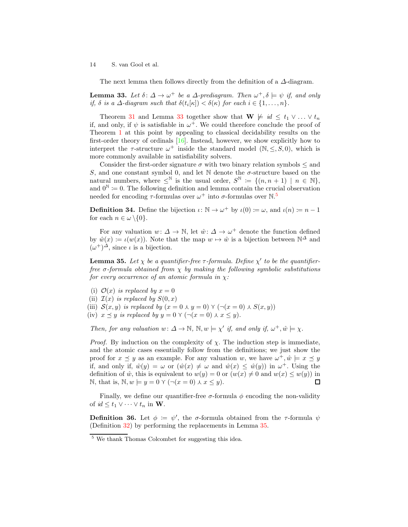<span id="page-13-0"></span>The next lemma then follows directly from the definition of a  $\Delta$ -diagram.

**Lemma 33.** Let  $\delta: \Delta \to \omega^+$  be a  $\Delta$ -prediagram. Then  $\omega^+, \delta \models \psi$  if, and only if,  $\delta$  is a  $\Delta$ -diagram such that  $\delta(t_i[\kappa]) < \delta(\kappa)$  for each  $i \in \{1, \ldots, n\}$ .

Theorem [31](#page-11-0) and Lemma [33](#page-13-0) together show that  $\mathbf{W} \not\models id \leq t_1 \vee \ldots \vee t_n$ if, and only, if  $\psi$  is satisfiable in  $\omega^+$ . We could therefore conclude the proof of Theorem [1](#page-2-0) at this point by appealing to classical decidability results on the first-order theory of ordinals [\[16\]](#page-15-17). Instead, however, we show explicitly how to interpret the  $\tau$ -structure  $\omega^+$  inside the standard model  $(\mathbb{N}, \leq, S, 0)$ , which is more commonly available in satisfiability solvers.

Consider the first-order signature  $\sigma$  with two binary relation symbols  $\leq$  and S, and one constant symbol 0, and let  $\mathbb N$  denote the  $\sigma$ -structure based on the natural numbers, where  $\leq^{\mathbb{N}}$  is the usual order,  $S^{\mathbb{N}} := \{(n, n + 1) \mid n \in \mathbb{N}\},\$ and  $0^{\mathbb{N}} \coloneqq 0$ . The following definition and lemma contain the crucial observation needed for encoding  $\tau$ -formulas over  $\omega^+$  into  $\sigma$ -formulas over  $\mathbb{N}$ .<sup>[5](#page-13-1)</sup>

**Definition 34.** Define the bijection  $\iota: \mathbb{N} \to \omega^+$  by  $\iota(0) \coloneqq \omega$ , and  $\iota(n) \coloneqq n-1$ for each  $n \in \omega \setminus \{0\}.$ 

For any valuation  $w: \Delta \to \mathbb{N}$ , let  $\hat{w}: \Delta \to \omega^+$  denote the function defined by  $\hat{w}(x) := \iota(w(x))$ . Note that the map  $w \mapsto \hat{w}$  is a bijection between  $\mathbb{N}^{\Delta}$  and  $(\omega^+)^{\Delta}$ , since  $\iota$  is a bijection.

<span id="page-13-2"></span>**Lemma 35.** Let  $\chi$  be a quantifier-free  $\tau$ -formula. Define  $\chi'$  to be the quantifierfree  $\sigma$ -formula obtained from  $\chi$  by making the following symbolic substitutions for every occurrence of an atomic formula in  $\chi$ :

- (i)  $\mathcal{O}(x)$  is replaced by  $x = 0$
- (ii)  $\mathcal{I}(x)$  is replaced by  $S(0, x)$
- (iii)  $S(x, y)$  is replaced by  $(x = 0 \land y = 0) \land (\neg(x = 0) \land S(x, y))$

(iv)  $x \preceq y$  is replaced by  $y = 0 \curlyvee (\neg(x = 0) \curlywedge x \leq y)$ .

Then, for any valuation  $w: \Delta \to \mathbb{N}$ ,  $\mathbb{N}, w \models \chi'$  if, and only if,  $\omega^+, \hat{w} \models \chi$ .

*Proof.* By induction on the complexity of  $\chi$ . The induction step is immediate, and the atomic cases essentially follow from the definitions; we just show the proof for  $x \preceq y$  as an example. For any valuation w, we have  $\omega^+, \hat{w} \models x \preceq y$ if, and only if,  $\hat{w}(y) = \omega$  or  $(\hat{w}(x) \neq \omega$  and  $\hat{w}(x) \leq \hat{w}(y)$  in  $\omega^+$ . Using the definition of  $\hat{w}$ , this is equivalent to  $w(y) = 0$  or  $(w(x) \neq 0$  and  $w(x) \leq w(y)$  in N, that is,  $\mathbb{N}, w \models y = 0 \land (\neg(x = 0) \land x \leq y).$  $\Box$ 

Finally, we define our quantifier-free  $\sigma$ -formula  $\phi$  encoding the non-validity of  $id \leq t_1 \vee \cdots \vee t_n$  in **W**.

**Definition 36.** Let  $\phi := \psi'$ , the  $\sigma$ -formula obtained from the  $\tau$ -formula  $\psi$ (Definition [32\)](#page-12-0) by performing the replacements in Lemma [35.](#page-13-2)

<span id="page-13-1"></span><sup>5</sup> We thank Thomas Colcombet for suggesting this idea.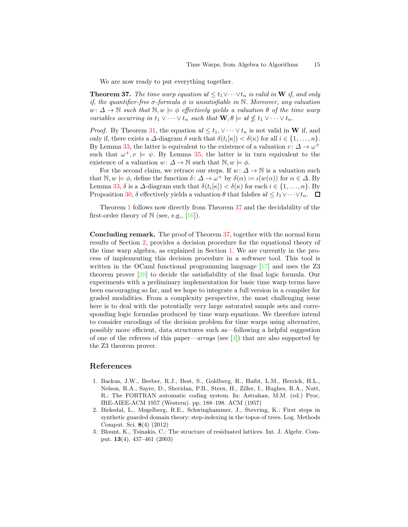<span id="page-14-3"></span>We are now ready to put everything together.

**Theorem 37.** The time warp equation id  $\leq t_1 \vee \cdots \vee t_n$  is valid in **W** if, and only if, the quantifier-free  $\sigma$ -formula  $\phi$  is unsatisfiable in N. Moreover, any valuation  $w: \Delta \to \mathbb{N}$  such that  $\mathbb{N}, w \models \phi$  effectively yields a valuation  $\theta$  of the time warp variables occurring in  $t_1 \vee \cdots \vee t_n$  such that  $\mathbf{W}, \theta \models \text{id} \nleq t_1 \vee \cdots \vee t_n$ .

*Proof.* By Theorem [31,](#page-11-0) the equation  $id \leq t_1, \vee \cdots \vee t_n$  is not valid in **W** if, and only if, there exists a  $\Delta$ -diagram  $\delta$  such that  $\delta(t_i[\kappa]) < \delta(\kappa)$  for all  $i \in \{1, \ldots, n\}$ . By Lemma [33,](#page-13-0) the latter is equivalent to the existence of a valuation  $v: \Delta \to \omega^+$ such that  $\omega^+, v \models \psi$ . By Lemma [35,](#page-13-2) the latter is in turn equivalent to the existence of a valuation  $w: \Delta \to \mathbb{N}$  such that  $\mathbb{N}, w \models \phi$ .

For the second claim, we retrace our steps. If  $w: \Delta \to \mathbb{N}$  is a valuation such that  $\mathbb{N}, w \models \phi$ , define the function  $\delta : \Delta \to \omega^+$  by  $\delta(\alpha) := \iota(w(\alpha))$  for  $\alpha \in \Delta$ . By Lemma [33,](#page-13-0)  $\delta$  is a  $\Delta$ -diagram such that  $\delta(t_i[\kappa]) < \delta(\kappa)$  for each  $i \in \{1, \ldots, n\}$ . By Proposition [30,](#page-10-2)  $\delta$  effectively yields a valuation  $\theta$  that falsfies  $id \leq t_1 \vee \cdots \vee t_n$ .  $\Box$ 

Theorem [1](#page-2-0) follows now directly from Theorem [37](#page-14-3) and the decidability of the first-order theory of  $\mathbb N$  (see, e.g., [\[16\]](#page-15-17)).

Concluding remark. The proof of Theorem [37,](#page-14-3) together with the normal form results of Section [2,](#page-4-0) provides a decision procedure for the equational theory of the time warp algebra, as explained in Section [1.](#page-0-0) We are currently in the process of implementing this decision procedure in a software tool. This tool is written in the OCaml functional programming language [\[17\]](#page-15-18) and uses the Z3 theorem prover [\[20\]](#page-15-19) to decide the satisfiability of the final logic formula. Our experiments with a preliminary implementation for basic time warp terms have been encouraging so far, and we hope to integrate a full version in a compiler for graded modalities. From a complexity perspective, the most challenging issue here is to deal with the potentially very large saturated sample sets and corresponding logic formulas produced by time warp equations. We therefore intend to consider encodings of the decision problem for time warps using alternative, possibly more efficient, data structures such as—following a helpful suggestion of one of the referees of this paper—arrays (see [\[4\]](#page-15-20)) that are also supported by the Z3 theorem prover.

### References

- <span id="page-14-0"></span>1. Backus, J.W., Beeber, R.J., Best, S., Goldberg, R., Haibt, L.M., Herrick, H.L., Nelson, R.A., Sayre, D., Sheridan, P.B., Stern, H., Ziller, I., Hughes, R.A., Nutt, R.: The FORTRAN automatic coding system. In: Astrahan, M.M. (ed.) Proc. IRE-AIEE-ACM 1957 (Western). pp. 188–198. ACM (1957)
- <span id="page-14-1"></span>2. Birkedal, L., Møgelberg, R.E., Schwinghammer, J., Støvring, K.: First steps in synthetic guarded domain theory: step-indexing in the topos of trees. Log. Methods Comput. Sci. 8(4) (2012)
- <span id="page-14-2"></span>3. Blount, K., Tsinakis, C.: The structure of residuated lattices. Int. J. Algebr. Comput. 13(4), 437–461 (2003)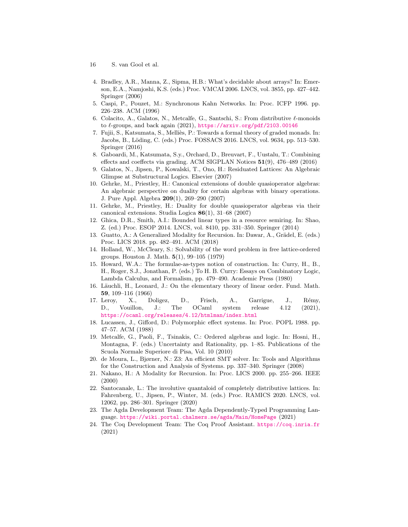- 16 S. van Gool et al.
- <span id="page-15-20"></span>4. Bradley, A.R., Manna, Z., Sipma, H.B.: What's decidable about arrays? In: Emerson, E.A., Namjoshi, K.S. (eds.) Proc. VMCAI 2006. LNCS, vol. 3855, pp. 427–442. Springer (2006)
- <span id="page-15-16"></span><span id="page-15-8"></span>5. Caspi, P., Pouzet, M.: Synchronous Kahn Networks. In: Proc. ICFP 1996. pp. 226–238. ACM (1996)
- <span id="page-15-5"></span>6. Colacito, A., Galatos, N., Metcalfe, G., Santschi, S.: From distributive  $\ell$ -monoids to  $\ell$ -groups, and back again (2021), <https://arxiv.org/pdf/2103.00146>
- 7. Fujii, S., Katsumata, S., Melliès, P.: Towards a formal theory of graded monads. In: Jacobs, B., L¨oding, C. (eds.) Proc. FOSSACS 2016. LNCS, vol. 9634, pp. 513–530. Springer (2016)
- <span id="page-15-6"></span>8. Gaboardi, M., Katsumata, S.y., Orchard, D., Breuvart, F., Uustalu, T.: Combining effects and coeffects via grading. ACM SIGPLAN Notices 51(9), 476–489 (2016)
- <span id="page-15-13"></span>9. Galatos, N., Jipsen, P., Kowalski, T., Ono, H.: Residuated Lattices: An Algebraic Glimpse at Substructural Logics. Elsevier (2007)
- <span id="page-15-10"></span>10. Gehrke, M., Priestley, H.: Canonical extensions of double quasioperator algebras: An algebraic perspective on duality for certain algebras with binary operations. J. Pure Appl. Algebra 209(1), 269–290 (2007)
- <span id="page-15-11"></span>11. Gehrke, M., Priestley, H.: Duality for double quasioperator algebras via their canonical extensions. Studia Logica 86(1), 31–68 (2007)
- <span id="page-15-4"></span>12. Ghica, D.R., Smith, A.I.: Bounded linear types in a resource semiring. In: Shao, Z. (ed.) Proc. ESOP 2014. LNCS, vol. 8410, pp. 331–350. Springer (2014)
- <span id="page-15-7"></span>13. Guatto, A.: A Generalized Modality for Recursion. In: Dawar, A., Grädel, E. (eds.) Proc. LICS 2018. pp. 482–491. ACM (2018)
- <span id="page-15-15"></span>14. Holland, W., McCleary, S.: Solvability of the word problem in free lattice-ordered groups. Houston J. Math. 5(1), 99–105 (1979)
- <span id="page-15-0"></span>15. Howard, W.A.: The formulae-as-types notion of construction. In: Curry, H., B., H., Roger, S.J., Jonathan, P. (eds.) To H. B. Curry: Essays on Combinatory Logic, Lambda Calculus, and Formalism, pp. 479–490. Academic Press (1980)
- <span id="page-15-17"></span>16. Läuchli, H., Leonard, J.: On the elementary theory of linear order. Fund. Math. 59, 109–116 (1966)
- <span id="page-15-18"></span>17. Leroy, X., Doligez, D., Frisch, A., Garrigue, J., Rémy, D., Vouillon, J.: The OCaml system release 4.12 (2021), <https://ocaml.org/releases/4.12/htmlman/index.html>
- <span id="page-15-3"></span>18. Lucassen, J., Gifford, D.: Polymorphic effect systems. In: Proc. POPL 1988. pp. 47–57. ACM (1988)
- <span id="page-15-14"></span>19. Metcalfe, G., Paoli, F., Tsinakis, C.: Ordered algebras and logic. In: Hosni, H., Montagna, F. (eds.) Uncertainty and Rationality, pp. 1–85. Publications of the Scuola Normale Superiore di Pisa, Vol. 10 (2010)
- <span id="page-15-19"></span>20. de Moura, L., Bjørner, N.: Z3: An efficient SMT solver. In: Tools and Algorithms for the Construction and Analysis of Systems. pp. 337–340. Springer (2008)
- <span id="page-15-9"></span>21. Nakano, H.: A Modality for Recursion. In: Proc. LICS 2000. pp. 255–266. IEEE (2000)
- <span id="page-15-12"></span>22. Santocanale, L.: The involutive quantaloid of completely distributive lattices. In: Fahrenberg, U., Jipsen, P., Winter, M. (eds.) Proc. RAMICS 2020. LNCS, vol. 12062, pp. 286–301. Springer (2020)
- <span id="page-15-1"></span>23. The Agda Development Team: The Agda Dependently-Typed Programming Language. <https://wiki.portal.chalmers.se/agda/Main/HomePage> (2021)
- <span id="page-15-2"></span>24. The Coq Development Team: The Coq Proof Assistant. <https://coq.inria.fr> (2021)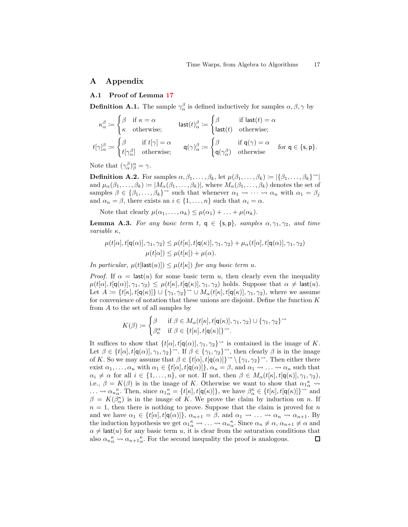## <span id="page-16-0"></span>A Appendix

#### A.1 Proof of Lemma [17](#page-8-4)

**Definition A.1.** The sample  $\gamma^{\beta}_{\alpha}$  is defined inductively for samples  $\alpha, \beta, \gamma$  by

$$
\kappa_{\alpha}^{\beta} := \begin{cases}\n\beta & \text{if } \kappa = \alpha \\
\kappa & \text{otherwise;} \\
\end{cases} \qquad \text{last}(t)_{\alpha}^{\beta} := \begin{cases}\n\beta & \text{if } \text{last}(t) = \alpha \\
\text{last}(t) & \text{otherwise;} \\
\end{cases}
$$
\n
$$
t[\gamma]_{\alpha}^{\beta} := \begin{cases}\n\beta & \text{if } \text{f}(\gamma) = \alpha \\
t[\gamma_{\alpha}^{\beta}] & \text{otherwise;} \\
\end{cases} \qquad \text{q}(\gamma)_{\alpha}^{\beta} := \begin{cases}\n\beta & \text{if } \text{q}(\gamma) = \alpha \\
\text{q}(\gamma_{\alpha}^{\beta}) & \text{otherwise}\n\end{cases} \qquad \text{for } \text{q} \in \{\text{s}, \text{p}\}.
$$

Note that  $({\gamma}^{\beta}_{\alpha})^{\alpha}_{\beta}={\gamma}.$ 

**Definition A.2.** For samples  $\alpha, \beta_1, \ldots, \beta_k$ , let  $\mu(\beta_1, \ldots, \beta_k) \coloneqq |\{\beta_1, \ldots, \beta_k\}^{\sim}|$ and  $\mu_{\alpha}(\beta_1,\ldots,\beta_k) \coloneqq |M_{\alpha}(\beta_1,\ldots,\beta_k)|$ , where  $M_{\alpha}(\beta_1,\ldots,\beta_k)$  denotes the set of samples  $\beta \in {\beta_1, ..., \beta_k}^{\sim}$  such that whenever  $\alpha_1 \leadsto \cdots \leadsto \alpha_n$  with  $\alpha_1 = \beta_j$ and  $\alpha_n = \beta$ , there exists an  $i \in \{1, \ldots, n\}$  such that  $\alpha_i = \alpha$ .

<span id="page-16-1"></span>Note that clearly  $\mu(\alpha_1, \ldots, \alpha_k) \leq \mu(\alpha_1) + \ldots + \mu(\alpha_k)$ .

**Lemma A.3.** For any basic term t,  $q \in \{s, p\}$ , samples  $\alpha, \gamma_1, \gamma_2$ , and time variable  $\kappa$ ,

$$
\mu(t[\alpha], t[\mathbf{q}(\alpha)], \gamma_1, \gamma_2) \leq \mu(t[\kappa], t[\mathbf{q}(\kappa)], \gamma_1, \gamma_2) + \mu_\alpha(t[\alpha], t[\mathbf{q}(\alpha)], \gamma_1, \gamma_2)
$$

$$
\mu(t[\alpha]) \leq \mu(t[\kappa]) + \mu(\alpha).
$$

In particular,  $\mu(t[\text{last}(u)]) \leq \mu(t[\kappa])$  for any basic term u.

*Proof.* If  $\alpha = \text{last}(u)$  for some basic term u, then clearly even the inequality  $\mu(t[\alpha], t[\mathsf{q}(\alpha)], \gamma_1, \gamma_2) \leq \mu(t[\kappa], t[\mathsf{q}(\kappa)], \gamma_1, \gamma_2)$  holds. Suppose that  $\alpha \neq \mathsf{last}(u)$ . Let  $A := \{t[\kappa], t[\mathsf{q}(\kappa)]\} \cup \{\gamma_1, \gamma_2\}^{\sim} \cup M_\alpha(t[\kappa], t[\mathsf{q}(\kappa)], \gamma_1, \gamma_2),$  where we assume for convenience of notation that these unions are disjoint. Define the function  $K$ from A to the set of all samples by

$$
K(\beta) := \begin{cases} \beta & \text{if } \beta \in M_{\alpha}(t[\kappa], t[\mathsf{q}(\kappa)], \gamma_1, \gamma_2) \cup \{\gamma_1, \gamma_2\}^{\sim} \\ \beta_{\kappa}^{\alpha} & \text{if } \beta \in \{t[\kappa], t[\mathsf{q}(\kappa)]\}^{\sim} . \end{cases}
$$

It suffices to show that  $\{t[\alpha], t[\mathsf{q}(\alpha)], \gamma_1, \gamma_2\}^{\sim}$  is contained in the image of K. Let  $\beta \in \{t[\alpha], t[\mathsf{q}(\alpha)], \gamma_1, \gamma_2\}^{\sim}$ . If  $\beta \in \{\gamma_1, \gamma_2\}^{\sim}$ , then clearly  $\beta$  is in the image of K. So we may assume that  $\beta \in \{t[\alpha], t[\mathbf{q}(\alpha)]\}^{\infty} \setminus {\{\gamma_1, \gamma_2\}}^{\sim}$ . Then either there exist  $\alpha_1, \ldots, \alpha_n$  with  $\alpha_1 \in \{t[\alpha], t[\mathsf{q}(\alpha)]\}, \alpha_n = \beta$ , and  $\alpha_1 \rightsquigarrow \ldots \rightsquigarrow \alpha_n$  such that  $\alpha_i \neq \alpha$  for all  $i \in \{1, \ldots, n\}$ , or not. If not, then  $\beta \in M_\alpha(t[\kappa], t[\mathsf{q}(\kappa)], \gamma_1, \gamma_2)$ , i.e.,  $\beta = K(\beta)$  is in the image of K. Otherwise we want to show that  $\alpha_1^{\kappa} \rightsquigarrow$  $\ldots \rightsquigarrow \alpha_n \alpha$ . Then, since  $\alpha_1 \alpha \alpha = \{t[\kappa], t[\mathbf{q}(\kappa)]\}$ , we have  $\beta_\alpha^{\kappa} \in \{t[\kappa], t[\mathbf{q}(\kappa)]\}$ <sup>or</sup> and  $\beta = K(\beta^{\kappa}_{\alpha})$  is in the image of K. We prove the claim by induction on n. If  $n = 1$ , then there is nothing to prove. Suppose that the claim is proved for n and we have  $\alpha_1 \in \{t[\alpha], t[\mathsf{q}(\alpha)]\}, \ \alpha_{n+1} = \beta$ , and  $\alpha_1 \leadsto \dots \leadsto \alpha_n \leadsto \alpha_{n+1}$ . By the induction hypothesis we get  $\alpha_1^{\kappa} \leadsto \ldots \leadsto \alpha_n^{\kappa}$ . Since  $\alpha_n \neq \alpha$ ,  $\alpha_{n+1} \neq \alpha$  and  $\alpha \neq \textsf{last}(u)$  for any basic term u, it is clear from the saturation conditions that also  $\alpha_{n}^{\kappa} \leadsto \alpha_{n+1}^{\kappa}$ . For the second inequality the proof is analogous. 口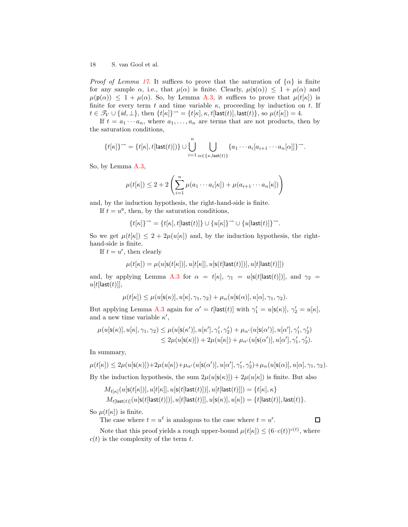*Proof of Lemma [17](#page-8-4).* It suffices to prove that the saturation of  $\{\alpha\}$  is finite for any sample  $\alpha$ , i.e., that  $\mu(\alpha)$  is finite. Clearly,  $\mu(\mathsf{s}(\alpha)) \leq 1 + \mu(\alpha)$  and  $\mu(\mathsf{p}(\alpha)) \leq 1 + \mu(\alpha)$ . So, by Lemma [A.3,](#page-16-1) it suffices to prove that  $\mu(t|\kappa)$  is finite for every term t and time variable  $\kappa$ , proceeding by induction on t. If  $t \in \mathcal{T}_V \cup \{id, \perp\}$ , then  $\{t[\kappa]\}^{\sim} = \{t[\kappa], \kappa, t[\text{last}(t)], \text{last}(t)\}$ , so  $\mu(t[\kappa]) = 4$ .

If  $t = a_1 \cdots a_n$ , where  $a_1, \ldots, a_n$  are terms that are not products, then by the saturation conditions,

$$
\{t[\kappa]\}^{\sim} = \{t[\kappa], t[\mathsf{last}(t)])\} \cup \bigcup_{i=1}^{n} \bigcup_{\alpha \in \{\kappa, \mathsf{last}(t)\}} \{a_1 \cdots a_i[a_{i+1} \cdots a_n[\alpha]]\}^{\sim}.
$$

So, by Lemma [A.3,](#page-16-1)

$$
\mu(t[\kappa]) \leq 2 + 2\left(\sum_{i=1}^n \mu(a_1 \cdots a_i[\kappa]) + \mu(a_{i+1} \cdots a_n[\kappa])\right)
$$

and, by the induction hypothesis, the right-hand-side is finite.

If  $t = u^{\circ}$ , then, by the saturation conditions,

$$
\{t[\kappa]\}^{\leadsto}=\{t[\kappa],t[\mathsf{last}(t)]\}\cup\{u[\kappa]\}^{\leadsto}\cup\{u[\mathsf{last}(t)]\}^{\leadsto}.
$$

So we get  $\mu(t|\kappa|) \leq 2 + 2\mu(u|\kappa|)$  and, by the induction hypothesis, the righthand-side is finite.

If  $t = u^r$ , then clearly

$$
\mu(t[\kappa]) = \mu(u[\mathsf{s}(t[\kappa])], u[t[\kappa]], u[\mathsf{s}(t[\mathsf{last}(t)])], u[t[\mathsf{last}(t)]])
$$

and, by applying Lemma [A.3](#page-16-1) for  $\alpha = t[\kappa], \gamma_1 = u[\mathsf{s}(t[\mathsf{last}(t)])]$ , and  $\gamma_2 =$  $u[t[last(t)]],$ 

$$
\mu(t[\kappa]) \leq \mu(u[\mathsf{s}(\kappa)], u[\kappa], \gamma_1, \gamma_2) + \mu_\alpha(u[\mathsf{s}(\alpha)], u[\alpha], \gamma_1, \gamma_2).
$$

But applying Lemma [A.3](#page-16-1) again for  $\alpha' = t$ [last $(t)$ ] with  $\gamma'_1 = u[s(\kappa)], \gamma'_2 = u[\kappa],$ and a new time variable  $\kappa'$ ,

$$
\mu(u[{\bf s}(\kappa)],u[\kappa],\gamma_1,\gamma_2) \leq \mu(u[{\bf s}(\kappa')],u[\kappa'],\gamma'_1,\gamma'_2) + \mu_{\alpha'}(u[{\bf s}(\alpha')],u[\alpha'],\gamma'_1,\gamma'_2) \leq 2\mu(u[{\bf s}(\kappa)]) + 2\mu(u[\kappa]) + \mu_{\alpha'}(u[{\bf s}(\alpha')],u[\alpha'],\gamma'_1,\gamma'_2).
$$

In summary,

$$
\mu(t[\kappa]) \leq 2\mu(u[\mathsf{s}(\kappa)]) + 2\mu(u[\kappa]) + \mu_{\alpha'}(u[\mathsf{s}(\alpha')], u[\alpha'], \gamma'_1, \gamma'_2) + \mu_{\alpha}(u[\mathsf{s}(\alpha)], u[\alpha], \gamma_1, \gamma_2).
$$
  
By the induction hypothesis, the sum  $2\mu(u[\mathsf{s}(\kappa)]) + 2\mu(u[\kappa])$  is finite. But also

$$
M_{t[\kappa]}(u[\mathsf{s}(t[\kappa])], u[t[\kappa]], u[\mathsf{s}(t[\mathsf{last}(t)])], u[t[\mathsf{last}(t)]]) = \{t[\kappa], \kappa\}
$$
  

$$
M_{t[\mathsf{last}(t)]}(u[\mathsf{s}(t[\mathsf{last}(t)])], u[t[\mathsf{last}(t)]], u[\mathsf{s}(\kappa)], u[\kappa]) = \{t[\mathsf{last}(t)], \mathsf{last}(t)\}.
$$

So  $\mu(t|\kappa|)$  is finite.

The case where  $t = u^{\ell}$  is analogous to the case where  $t = u^{r}$ .  $\Box$ 

Note that this proof yields a rough upper-bound  $\mu(t[\kappa]) \leq (6 \cdot c(t))^{c(t)}$ , where  $c(t)$  is the complexity of the term t.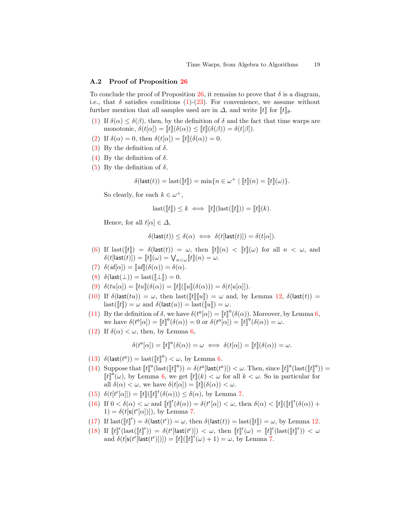### <span id="page-18-0"></span>A.2 Proof of Proposition [26](#page-9-2)

To conclude the proof of Proposition [26,](#page-9-2) it remains to prove that  $\delta$  is a diagram, i.e., that  $\delta$  satisfies conditions [\(1\)](#page-8-0)-[\(23\)](#page-9-1). For convenience, we assume without further mention that all samples used are in  $\Delta$ , and write  $\llbracket t \rrbracket$  for  $\llbracket t \rrbracket_{\theta}$ .

- [\(1\)](#page-8-0) If  $\delta(\alpha) \leq \delta(\beta)$ , then, by the definition of  $\delta$  and the fact that time warps are monotonic,  $\delta(t[\alpha]) = [t](\delta(\alpha)) \leq [t](\delta(\beta)) = \delta(t[\beta]).$
- [\(2\)](#page-8-2) If  $\delta(\alpha) = 0$ , then  $\delta(t[\alpha]) = ||t||(\delta(\alpha)) = 0$ .
- [\(3\)](#page-8-6) By the definition of  $\delta$ .
- [\(4\)](#page-8-7) By the definition of  $\delta$ .
- [\(5\)](#page-8-1) By the definition of  $\delta$ ,

$$
\delta(\mathsf{last}(t)) = \mathsf{last}(\llbracket t \rrbracket) = \min\{n \in \omega^+ \mid \llbracket t \rrbracket(n) = \llbracket t \rrbracket(\omega)\}.
$$

So clearly, for each  $k \in \omega^+$ ,

$$
last([\![t]\!]) \leq k \iff [\![t]\!](last([\![t]\!])) = [\![t]\!](k).
$$

Hence, for all  $t[\alpha] \in \Delta$ ,

$$
\delta(\mathsf{last}(t)) \le \delta(\alpha) \iff \delta(t[\mathsf{last}(t)]) = \delta(t[\alpha]).
$$

- [\(6\)](#page-8-3) If last( $\llbracket t \rrbracket$ ) =  $\delta$ (last(t)) =  $\omega$ , then  $\llbracket t \rrbracket(n) < \llbracket t \rrbracket(\omega)$  for all  $n < \omega$ , and  $\delta(t[\mathsf{last}(t)]) = \llbracket t \rrbracket(\omega) = \bigvee_{n < \omega} \llbracket t \rrbracket(n) = \omega.$
- [\(7\)](#page-8-8)  $\delta(id[\alpha]) = ||id||(\delta(\alpha)) = \delta(\alpha).$
- [\(8\)](#page-8-9)  $\delta(\textsf{last}(\perp)) = \textsf{last}(\llbracket \perp \rrbracket) = 0.$
- [\(9\)](#page-8-10)  $\delta(tu[\alpha]) = [tu](\delta(\alpha)) = [t]([u](\delta(\alpha))) = \delta(t[u[\alpha]]).$
- [\(10\)](#page-8-11) If  $\delta(\textsf{last}(tu)) = \omega$ , then last( $[[t]][[u]] = \omega$  and, by Lemma [12,](#page-7-1)  $\delta(\textsf{last}(t)) =$  $\text{last}(\llbracket t \rrbracket) = \omega \text{ and } \delta(\text{last}(u)) = \text{last}(\llbracket u \rrbracket) = \omega.$
- [\(11\)](#page-9-4) By the definition of  $\delta$ , we have  $\delta(t^{\circ}[\alpha]) = [[t]]^{\circ}(\delta(\alpha))$ . Moreover, by Lemma [6,](#page-6-2) we have  $\delta(t^{\circ}[\alpha]) = [t]^{\circ}(\delta(\alpha)) = 0$  or  $\delta(t^{\circ}[\alpha]) = [t]^{\circ}(\delta(\alpha)) = \omega$ .
- [\(12\)](#page-9-5) If  $\delta(\alpha) < \omega$ , then, by Lemma [6,](#page-6-2)

$$
\delta(t^{\circ}[\alpha]) = [\![t]\!]^{\circ}(\delta(\alpha)) = \omega \iff \delta(t[\alpha]) = [\![t]\!](\delta(\alpha)) = \omega.
$$

- [\(13\)](#page-9-6)  $\delta(\text{last}(t^{\circ})) = \text{last}([\![t]\!]^{\circ}) < \omega$ , by Lemma [6.](#page-6-2)
- [\(14\)](#page-9-7) Suppose that  $[[t]]^{\circ}$ (last( $[[t]]^{\circ}$ )) =  $\delta(t^{\circ}$ [last( $t^{\circ})$ ]) <  $\omega$ . Then, since  $[[t]]^{\circ}$ (last( $[[t]]^{\circ}$ )) =  $[[t]]^{\circ}(\omega)$ , by Lemma [6,](#page-6-2) we get  $[[t]](k) < \omega$  for all  $k < \omega$ . So in particular for all  $\delta(\alpha) < \omega$ , we have  $\delta(t[\alpha]) = [t](\delta(\alpha)) < \omega$ .
- [\(15\)](#page-9-8)  $\delta(t[t^r[\alpha]]) = [t]([t]^r(\delta(\alpha))) \leq \delta(\alpha)$ , by Lemma [7.](#page-6-3)
- [\(16\)](#page-9-9) If  $0 < \delta(\alpha) < \omega$  and  $[[t]]^r(\delta(\alpha)) = \delta(t^r[\alpha]) < \omega$ , then  $\delta(\alpha) < [[t]]^r(\delta(\alpha))$  +  $1) = \delta(t[s(t^r[\alpha])]),$  by Lemma [7.](#page-6-3)
- [\(17\)](#page-9-10) If last( $[[t]]'$ ) =  $\delta$ (last( $t^r$ )) =  $\omega$ , then  $\delta$ (last( $t$ )) = last( $[[t]]$ ) =  $\omega$ , by Lemma [12.](#page-7-1)
- [\(18\)](#page-9-11) If  $[[t]]^{r}(\text{last}([t]]^{r})) = \delta(t^{r}[\text{last}(t^{r})]) < \omega$ , then  $[[t]]^{r}(\omega) = [[t]]^{r}(\text{last}([t]]^{r})) < \omega$ and  $\delta(t[\mathsf{s}(t^r[\textsf{last}(t^r)])]) = [t][[t]]^r(\omega) + 1) = \omega$ , by Lemma [7.](#page-6-3)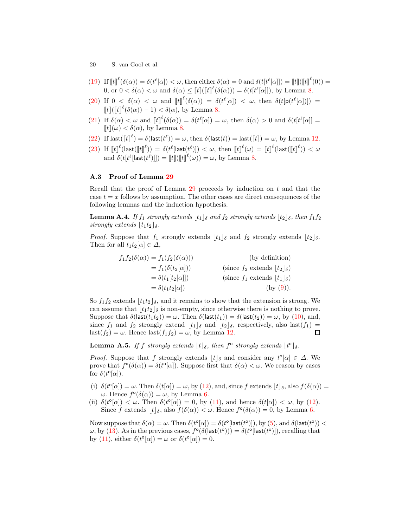- [\(19\)](#page-9-12) If  $\llbracket t \rrbracket^{\ell}(\delta(\alpha)) = \delta(t^{\ell}[\alpha]) < \omega$ , then either  $\delta(\alpha) = 0$  and  $\delta(t[t^{\ell}[\alpha]]) = \llbracket t \rrbracket^{\ell}(0)) =$ 0, or  $0 < \delta(\alpha) < \omega$  and  $\delta(\alpha) \leq [t] \left( [t] \right]^{\ell} (\delta(\alpha)) = \delta(t[t^{\ell}[\alpha]])$ , by Lemma [8.](#page-6-4)
- [\(20\)](#page-9-13) If  $0 < \delta(\alpha) < \omega$  and  $[[t]]^{\ell}(\delta(\alpha)) = \delta(t^{\ell}[\alpha]) < \omega$ , then  $\delta(t[p(t^{\ell}[\alpha])]) =$  $\llbracket t \rrbracket^{\ell} (\llbracket t \rrbracket^{\ell} (\delta(\alpha)) - 1) < \delta(\alpha)$ , by Lemma [8.](#page-6-4)
- [\(21\)](#page-9-14) If  $\delta(\alpha) < \omega$  and  $[[t]]^{\ell}(\delta(\alpha)) = \delta(t^{\ell}[\alpha]) = \omega$ , then  $\delta(\alpha) > 0$  and  $\delta(t[t^{\ell}[\alpha]] =$  $[[t]](\omega) < \delta(\alpha)$ , by Lemma [8.](#page-6-4)
- [\(22\)](#page-9-15) If  $\text{last}(\llbracket t \rrbracket^\ell) = \delta(\text{last}(t^\ell)) = \omega$ , then  $\delta(\text{last}(t)) = \text{last}(\llbracket t \rrbracket) = \omega$ , by Lemma [12.](#page-7-1)
- [\(23\)](#page-9-1) If  $\llbracket t \rrbracket^{\ell}(\text{last}(\llbracket t \rrbracket^{\ell})) = \delta(t^{\ell}[\text{last}(t^{\ell})]) < \omega$ , then  $\llbracket t \rrbracket^{\ell}(\omega) = \llbracket t \rrbracket^{\ell}(\text{last}(\llbracket t \rrbracket^{\ell})) < \omega$ and  $\delta(t[t^{\ell}[\text{last}(t^{\ell})]]) = [t] \big( [t] \big( [t] \big)^{\ell}(\omega) \big) = \omega$ , by Lemma [8.](#page-6-4)

## <span id="page-19-0"></span>A.3 Proof of Lemma [29](#page-10-1)

Recall that the proof of Lemma  $29$  proceeds by induction on t and that the case  $t = x$  follows by assumption. The other cases are direct consequences of the following lemmas and the induction hypothesis.

**Lemma A.4.** If  $f_1$  strongly extends  $|t_1|_{\delta}$  and  $f_2$  strongly extends  $|t_2|_{\delta}$ , then  $f_1 f_2$ strongly extends  $|t_1t_2|_{\delta}$ .

*Proof.* Suppose that  $f_1$  strongly extends  $\lfloor t_1 \rfloor_{\delta}$  and  $f_2$  strongly extends  $\lfloor t_2 \rfloor_{\delta}$ . Then for all  $t_1t_2[\alpha] \in \Delta$ ,

$$
f_1 f_2(\delta(\alpha)) = f_1(f_2(\delta(\alpha)))
$$
 (by definition)  
\n
$$
= f_1(\delta(t_2[\alpha]))
$$
 (since  $f_2$  extends  $\lfloor t_2 \rfloor_{\delta}$ )  
\n
$$
= \delta(t_1[t_2[\alpha]])
$$
 (since  $f_1$  extends  $\lfloor t_1 \rfloor_{\delta}$ )  
\n
$$
= \delta(t_1 t_2[\alpha])
$$
 (by (9)).

So  $f_1f_2$  extends  $\lfloor t_1t_2\rfloor_\delta$ , and it remains to show that the extension is strong. We can assume that  $|t_1t_2|\delta$  is non-empty, since otherwise there is nothing to prove. Suppose that  $\delta(\mathsf{last}(t_1t_2)) = \omega$ . Then  $\delta(\mathsf{last}(t_1)) = \delta(\mathsf{last}(t_2)) = \omega$ , by [\(10\)](#page-8-11), and, since  $f_1$  and  $f_2$  strongly extend  $\lfloor t_1 \rfloor_{\delta}$  and  $\lfloor t_2 \rfloor_{\delta}$ , respectively, also last $(f_1)$  = last( $f_2$ ) =  $\omega$ . Hence last( $f_1 f_2$ ) =  $\omega$ , by Lemma [12.](#page-7-1)  $\Box$ 

**Lemma A.5.** If f strongly extends  $\lfloor t \rfloor_{\delta}$ , then  $f^{\circ}$  strongly extends  $\lfloor t^{\circ} \rfloor_{\delta}$ .

*Proof.* Suppose that f strongly extends  $\lfloor t \rfloor_{\delta}$  and consider any  $t^{\circ}[\alpha] \in \Delta$ . We prove that  $f^{\circ}(\delta(\alpha)) = \delta(t^{\circ}[\alpha])$ . Suppose first that  $\delta(\alpha) < \omega$ . We reason by cases for  $\delta(t^{\circ}[\alpha])$ .

- (i)  $\delta(t^{\circ}[\alpha]) = \omega$ . Then  $\delta(t[\alpha]) = \omega$ , by [\(12\)](#page-9-5), and, since f extends  $\lfloor t \rfloor_{\delta}$ , also  $f(\delta(\alpha)) =$  $ω.$  Hence  $f^{\circ}(\delta(α)) = ω$ , by Lemma [6.](#page-6-2)
- (ii)  $\delta(t^{\circ}[\alpha]) < \omega$ . Then  $\delta(t^{\circ}[\alpha]) = 0$ , by [\(11\)](#page-9-4), and hence  $\delta(t[\alpha]) < \omega$ , by [\(12\)](#page-9-5). Since f extends  $\lfloor t \rfloor_{\delta}$ , also  $f(\delta(\alpha)) < \omega$ . Hence  $f^{\circ}(\delta(\alpha)) = 0$ , by Lemma [6.](#page-6-2)

Now suppose that  $\delta(\alpha) = \omega$ . Then  $\delta(t^{\circ}[\alpha]) = \delta(t^{\circ}[\textsf{last}(t^{\circ})])$ , by [\(5\)](#page-8-1), and  $\delta(\textsf{last}(t^{\circ})) <$  $ω$ , by [\(13\)](#page-9-6). As in the previous cases,  $f^{\circ}(\delta(\mathsf{last}(t^{\circ}))) = \delta(t^{\circ}(\mathsf{last}(t^{\circ}))),$  recalling that by [\(11\)](#page-9-4), either  $\delta(t^{\circ}[\alpha]) = \omega$  or  $\delta(t^{\circ}[\alpha]) = 0$ .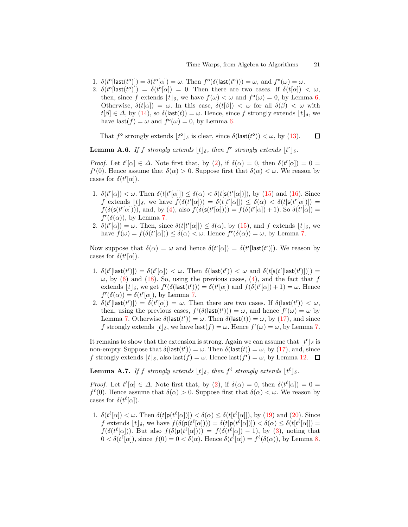- 1.  $\delta(t^{\circ}[\textsf{last}(t^{\circ})]) = \delta(t^{\circ}[\alpha]) = \omega$ . Then  $f^{\circ}(\delta(\textsf{last}(t^{\circ}))) = \omega$ , and  $f^{\circ}(\omega) = \omega$ .
- 2.  $\delta(t^{\circ}[\textsf{last}(t^{\circ})]) = \delta(t^{\circ}[\alpha]) = 0$ . Then there are two cases. If  $\delta(t[\alpha]) < \omega$ , then, since f extends  $\lfloor t \rfloor_{\delta}$ , we have  $f(\omega) < \omega$  and  $f^{\circ}(\omega) = 0$ , by Lemma [6.](#page-6-2) Otherwise,  $\delta(t[\alpha]) = \omega$ . In this case,  $\delta(t[\beta]) < \omega$  for all  $\delta(\beta) < \omega$  with  $t[\beta] \in \Delta$ , by [\(14\)](#page-9-7), so  $\delta$ (last $(t)$ ) =  $\omega$ . Hence, since f strongly extends  $|t|_{\delta}$ , we have last $(f) = \omega$  and  $f^{\circ}(\omega) = 0$ , by Lemma [6.](#page-6-2)

That  $f^{\circ}$  strongly extends  $\lfloor t^{\circ} \rfloor_{\delta}$  is clear, since  $\delta(\mathsf{last}(t^{\circ})) < \omega$ , by [\(13\)](#page-9-6).  $\Box$ 

**Lemma A.6.** If f strongly extends  $\lfloor t \rfloor_{\delta}$ , then f<sup>r</sup> strongly extends  $\lfloor t^r \rfloor_{\delta}$ .

Proof. Let  $t^r[\alpha] \in \Delta$ . Note first that, by [\(2\)](#page-8-2), if  $\delta(\alpha) = 0$ , then  $\delta(t^r[\alpha]) = 0$  $f''(0)$ . Hence assume that  $\delta(\alpha) > 0$ . Suppose first that  $\delta(\alpha) < \omega$ . We reason by cases for  $\delta(t^r[\alpha])$ .

- 1.  $\delta(t^r[\alpha]) < \omega$ . Then  $\delta(t[t^r[\alpha]]) \leq \delta(\alpha) < \delta(t[s(t^r[\alpha]]))$ , by [\(15\)](#page-9-8) and [\(16\)](#page-9-9). Since f extends  $\lfloor t \rfloor_{\delta}$ , we have  $f(\delta(t^r[\alpha])) = \delta(t[t^r[\alpha]]) \leq \delta(\alpha) < \delta(t[s(t^r[\alpha])]) =$  $f(\delta(\mathsf{s}(t^r[\alpha])))$ , and, by [\(4\)](#page-8-7), also  $f(\delta(\mathsf{s}(t^r[\alpha])) = f(\delta(t^r[\alpha]) + 1)$ . So  $\delta(t^r[\alpha]) =$  $f^r(\delta(\alpha))$ , by Lemma [7.](#page-6-3)
- 2.  $\delta(t^r[\alpha]) = \omega$ . Then, since  $\delta(t[t^r[\alpha]]) \leq \delta(\alpha)$ , by [\(15\)](#page-9-8), and f extends  $\lfloor t \rfloor_{\delta}$ , we have  $f(\omega) = f(\delta(t^r[\alpha])) \leq \delta(\alpha) < \omega$ . Hence  $f^r(\delta(\alpha)) = \omega$ , by Lemma [7.](#page-6-3)

Now suppose that  $\delta(\alpha) = \omega$  and hence  $\delta(t^r[\alpha]) = \delta(t^r[\text{last}(t^r)])$ . We reason by cases for  $\delta(t^r[\alpha])$ .

- 1.  $\delta(t^r[\text{last}(t^r)]) = \delta(t^r[\alpha]) < \omega$ . Then  $\delta(\text{last}(t^r)) < \omega$  and  $\delta(t[s(t^r[\text{last}(t^r))])])$  $\omega$ , by [\(6\)](#page-8-3) and [\(18\)](#page-9-11). So, using the previous cases, [\(4\)](#page-8-7), and the fact that f extends  $[t]_\delta$ , we get  $f'(\delta(\textsf{last}(t'))) = \delta(t'[\alpha])$  and  $f(\delta(t'[\alpha]) + 1) = \omega$ . Hence  $f^{\prime}(\delta(\alpha)) = \delta(t^{\prime}[\alpha]),$  by Lemma [7.](#page-6-3)
- 2.  $\delta(t^r[\textsf{last}(t^r)]) = \delta(t^r[\alpha]) = \omega$ . Then there are two cases. If  $\delta(\textsf{last}(t^r)) < \omega$ , then, using the previous cases,  $f'(\delta(\text{last}(t'))) = \omega$ , and hence  $f'(\omega) = \omega$  by Lemma [7.](#page-6-3) Otherwise  $\delta(\textsf{last}(t^r)) = \omega$ . Then  $\delta(\textsf{last}(t)) = \omega$ , by [\(17\)](#page-9-10), and since f strongly extends  $\lfloor t \rfloor_{\delta}$ , we have last $(f) = \omega$ . Hence  $f'(\omega) = \omega$ , by Lemma [7.](#page-6-3)

It remains to show that the extension is strong. Again we can assume that  $\lfloor t^r \rfloor_{\delta}$  is non-empty. Suppose that  $\delta(\mathsf{last}(t^r)) = \omega$ . Then  $\delta(\mathsf{last}(t)) = \omega$ , by [\(17\)](#page-9-10), and, since f strongly extends  $\lfloor t \rfloor_{\delta}$ , also last $(f) = \omega$ . Hence last $(f') = \omega$ , by Lemma [12.](#page-7-1)

**Lemma A.7.** If f strongly extends  $\lfloor t \rfloor_{\delta}$ , then  $f^{\ell}$  strongly extends  $\lfloor t^{\ell} \rfloor_{\delta}$ .

*Proof.* Let  $t^{\ell}[\alpha] \in \Delta$ . Note first that, by [\(2\)](#page-8-2), if  $\delta(\alpha) = 0$ , then  $\delta(t^{\ell}[\alpha]) = 0$  $f^{\ell}(0)$ . Hence assume that  $\delta(\alpha) > 0$ . Suppose first that  $\delta(\alpha) < \omega$ . We reason by cases for  $\delta(t^{\ell}[\alpha])$ .

1.  $\delta(t^{\ell}[\alpha]) < \omega$ . Then  $\delta(t[p(t^{\ell}[\alpha]]]) < \delta(\alpha) \leq \delta(t[t^{\ell}[\alpha]])$ , by [\(19\)](#page-9-12) and [\(20\)](#page-9-13). Since f extends  $\lfloor t \rfloor_{\delta}$ , we have  $f(\delta(\mathbf{p}(t^{\ell}[\alpha])) = \delta(t[\mathbf{p}(t^{\ell}[\alpha]])) < \delta(\alpha) \leq \delta(t[t^{\ell}[\alpha]]) =$  $f(\delta(t^{\ell}[\alpha]))$ . But also  $f(\delta(\mathsf{p}(t^{\ell}[\alpha])) = f(\delta(t^{\ell}[\alpha]) - 1)$ , by [\(3\)](#page-8-6), noting that  $0 < \delta(t^{\ell}[\alpha]),$  since  $f(0) = 0 < \delta(\alpha)$ . Hence  $\delta(t^{\ell}[\alpha]) = f^{\ell}(\delta(\alpha)),$  by Lemma [8.](#page-6-4)